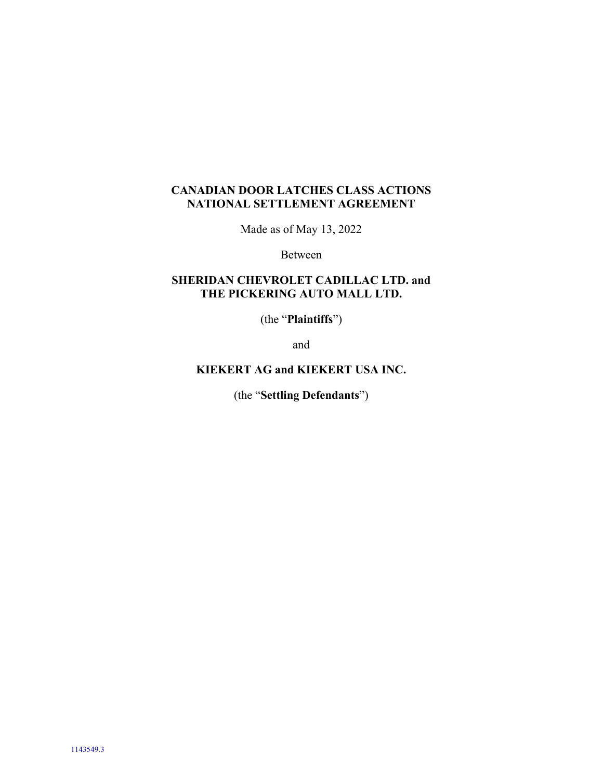# **CANADIAN DOOR LATCHES CLASS ACTIONS NATIONAL SETTLEMENT AGREEMENT**

Made as of May 13, 2022

Between

# **SHERIDAN CHEVROLET CADILLAC LTD. and THE PICKERING AUTO MALL LTD.**

(the "**Plaintiffs**")

and

# **KIEKERT AG and KIEKERT USA INC.**

(the "**Settling Defendants**")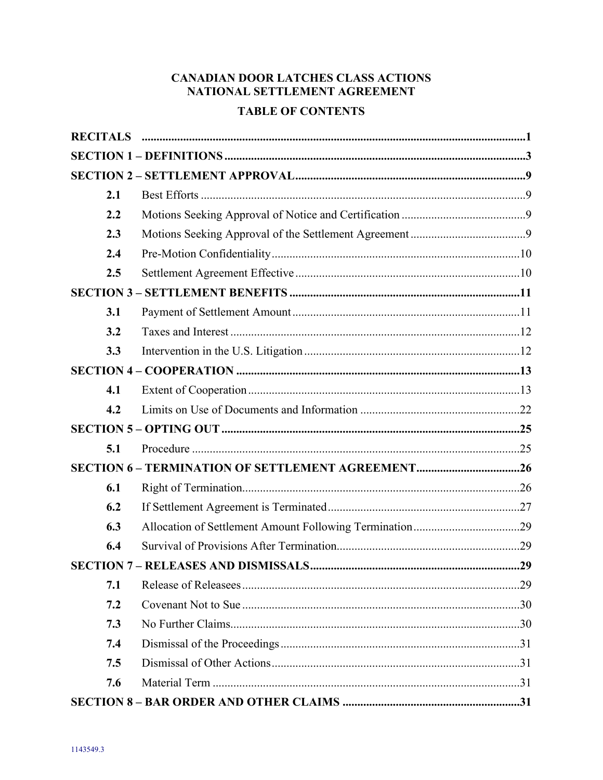# **CANADIAN DOOR LATCHES CLASS ACTIONS** NATIONAL SETTLEMENT AGREEMENT

# **TABLE OF CONTENTS**

| 2.1 |  |
|-----|--|
| 2.2 |  |
| 2.3 |  |
| 2.4 |  |
| 2.5 |  |
|     |  |
| 3.1 |  |
| 3.2 |  |
| 3.3 |  |
|     |  |
| 4.1 |  |
| 4.2 |  |
|     |  |
| 5.1 |  |
|     |  |
| 6.1 |  |
| 6.2 |  |
| 6.3 |  |
| 6.4 |  |
|     |  |
| 7.1 |  |
| 7.2 |  |
| 7.3 |  |
| 7.4 |  |
| 7.5 |  |
| 7.6 |  |
|     |  |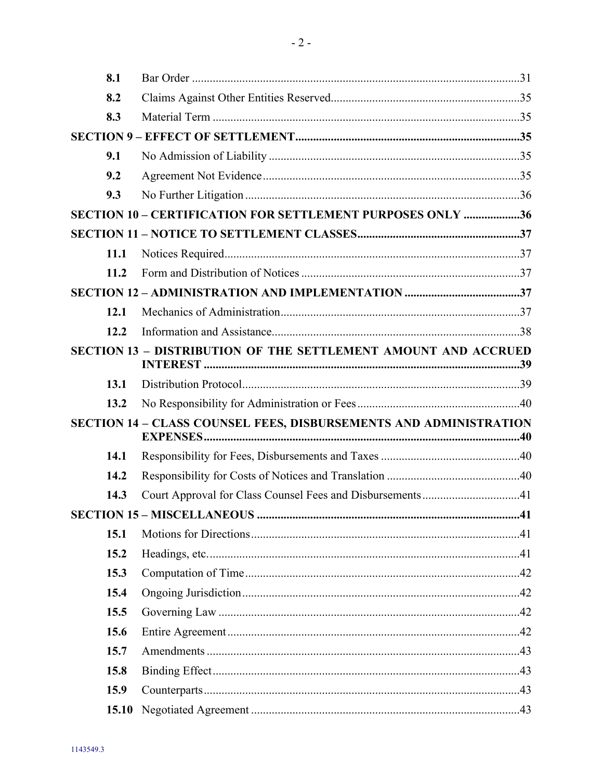|                                                                   | 8.1         |                                                                       |  |  |  |  |
|-------------------------------------------------------------------|-------------|-----------------------------------------------------------------------|--|--|--|--|
|                                                                   | 8.2         |                                                                       |  |  |  |  |
|                                                                   | 8.3         |                                                                       |  |  |  |  |
|                                                                   |             |                                                                       |  |  |  |  |
|                                                                   | 9.1         |                                                                       |  |  |  |  |
|                                                                   | 9.2         |                                                                       |  |  |  |  |
|                                                                   | 9.3         |                                                                       |  |  |  |  |
|                                                                   |             | SECTION 10 - CERTIFICATION FOR SETTLEMENT PURPOSES ONLY 36            |  |  |  |  |
|                                                                   |             |                                                                       |  |  |  |  |
|                                                                   | <b>11.1</b> |                                                                       |  |  |  |  |
|                                                                   | 11.2        |                                                                       |  |  |  |  |
|                                                                   |             |                                                                       |  |  |  |  |
|                                                                   | 12.1        |                                                                       |  |  |  |  |
|                                                                   | 12.2        |                                                                       |  |  |  |  |
|                                                                   |             | <b>SECTION 13 - DISTRIBUTION OF THE SETTLEMENT AMOUNT AND ACCRUED</b> |  |  |  |  |
|                                                                   | 13.1        |                                                                       |  |  |  |  |
|                                                                   | 13.2        |                                                                       |  |  |  |  |
| SECTION 14 - CLASS COUNSEL FEES, DISBURSEMENTS AND ADMINISTRATION |             |                                                                       |  |  |  |  |
|                                                                   | 14.1        |                                                                       |  |  |  |  |
|                                                                   | 14.2        |                                                                       |  |  |  |  |
|                                                                   | 14.3        | Court Approval for Class Counsel Fees and Disbursements41             |  |  |  |  |
|                                                                   |             |                                                                       |  |  |  |  |
|                                                                   | 15.1        |                                                                       |  |  |  |  |
|                                                                   | 15.2        |                                                                       |  |  |  |  |
|                                                                   | 15.3        |                                                                       |  |  |  |  |
|                                                                   | 15.4        |                                                                       |  |  |  |  |
|                                                                   | 15.5        |                                                                       |  |  |  |  |
|                                                                   | 15.6        |                                                                       |  |  |  |  |
|                                                                   | 15.7        |                                                                       |  |  |  |  |
|                                                                   | 15.8        |                                                                       |  |  |  |  |
|                                                                   | 15.9        |                                                                       |  |  |  |  |
|                                                                   | 15.10       |                                                                       |  |  |  |  |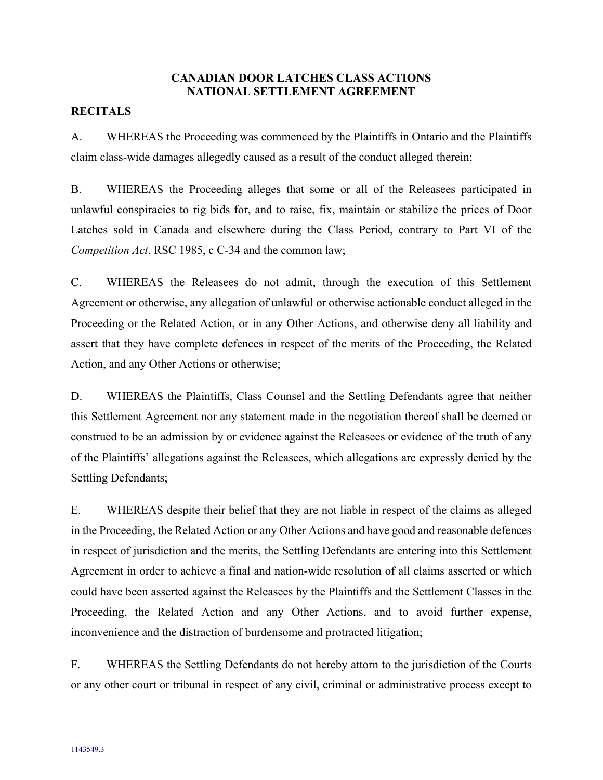### **CANADIAN DOOR LATCHES CLASS ACTIONS NATIONAL SETTLEMENT AGREEMENT**

### **RECITALS**

A. WHEREAS the Proceeding was commenced by the Plaintiffs in Ontario and the Plaintiffs claim class-wide damages allegedly caused as a result of the conduct alleged therein;

B. WHEREAS the Proceeding alleges that some or all of the Releasees participated in unlawful conspiracies to rig bids for, and to raise, fix, maintain or stabilize the prices of Door Latches sold in Canada and elsewhere during the Class Period, contrary to Part VI of the *Competition Act*, RSC 1985, c C-34 and the common law;

C. WHEREAS the Releasees do not admit, through the execution of this Settlement Agreement or otherwise, any allegation of unlawful or otherwise actionable conduct alleged in the Proceeding or the Related Action, or in any Other Actions, and otherwise deny all liability and assert that they have complete defences in respect of the merits of the Proceeding, the Related Action, and any Other Actions or otherwise;

D. WHEREAS the Plaintiffs, Class Counsel and the Settling Defendants agree that neither this Settlement Agreement nor any statement made in the negotiation thereof shall be deemed or construed to be an admission by or evidence against the Releasees or evidence of the truth of any of the Plaintiffs' allegations against the Releasees, which allegations are expressly denied by the Settling Defendants;

E. WHEREAS despite their belief that they are not liable in respect of the claims as alleged in the Proceeding, the Related Action or any Other Actions and have good and reasonable defences in respect of jurisdiction and the merits, the Settling Defendants are entering into this Settlement Agreement in order to achieve a final and nation-wide resolution of all claims asserted or which could have been asserted against the Releasees by the Plaintiffs and the Settlement Classes in the Proceeding, the Related Action and any Other Actions, and to avoid further expense, inconvenience and the distraction of burdensome and protracted litigation;

F. WHEREAS the Settling Defendants do not hereby attorn to the jurisdiction of the Courts or any other court or tribunal in respect of any civil, criminal or administrative process except to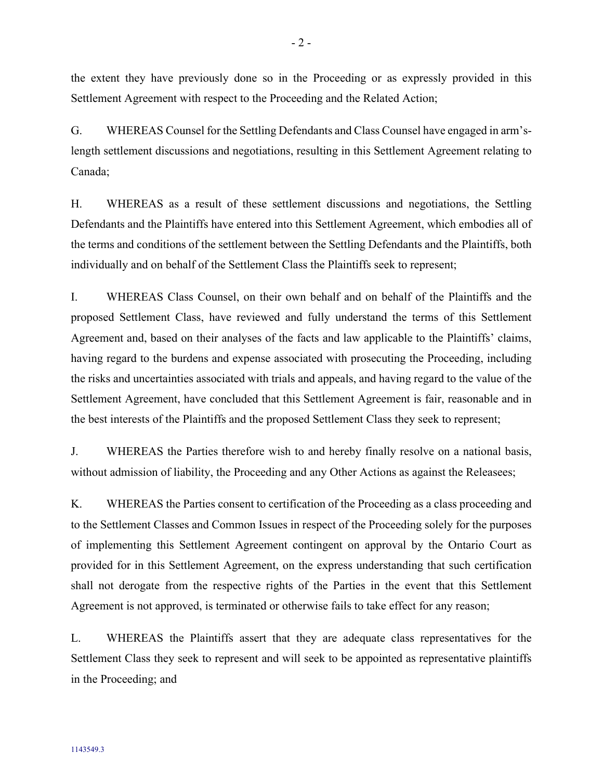the extent they have previously done so in the Proceeding or as expressly provided in this Settlement Agreement with respect to the Proceeding and the Related Action;

G. WHEREAS Counsel for the Settling Defendants and Class Counsel have engaged in arm'slength settlement discussions and negotiations, resulting in this Settlement Agreement relating to Canada;

H. WHEREAS as a result of these settlement discussions and negotiations, the Settling Defendants and the Plaintiffs have entered into this Settlement Agreement, which embodies all of the terms and conditions of the settlement between the Settling Defendants and the Plaintiffs, both individually and on behalf of the Settlement Class the Plaintiffs seek to represent;

I. WHEREAS Class Counsel, on their own behalf and on behalf of the Plaintiffs and the proposed Settlement Class, have reviewed and fully understand the terms of this Settlement Agreement and, based on their analyses of the facts and law applicable to the Plaintiffs' claims, having regard to the burdens and expense associated with prosecuting the Proceeding, including the risks and uncertainties associated with trials and appeals, and having regard to the value of the Settlement Agreement, have concluded that this Settlement Agreement is fair, reasonable and in the best interests of the Plaintiffs and the proposed Settlement Class they seek to represent;

J. WHEREAS the Parties therefore wish to and hereby finally resolve on a national basis, without admission of liability, the Proceeding and any Other Actions as against the Releasees;

K. WHEREAS the Parties consent to certification of the Proceeding as a class proceeding and to the Settlement Classes and Common Issues in respect of the Proceeding solely for the purposes of implementing this Settlement Agreement contingent on approval by the Ontario Court as provided for in this Settlement Agreement, on the express understanding that such certification shall not derogate from the respective rights of the Parties in the event that this Settlement Agreement is not approved, is terminated or otherwise fails to take effect for any reason;

L. WHEREAS the Plaintiffs assert that they are adequate class representatives for the Settlement Class they seek to represent and will seek to be appointed as representative plaintiffs in the Proceeding; and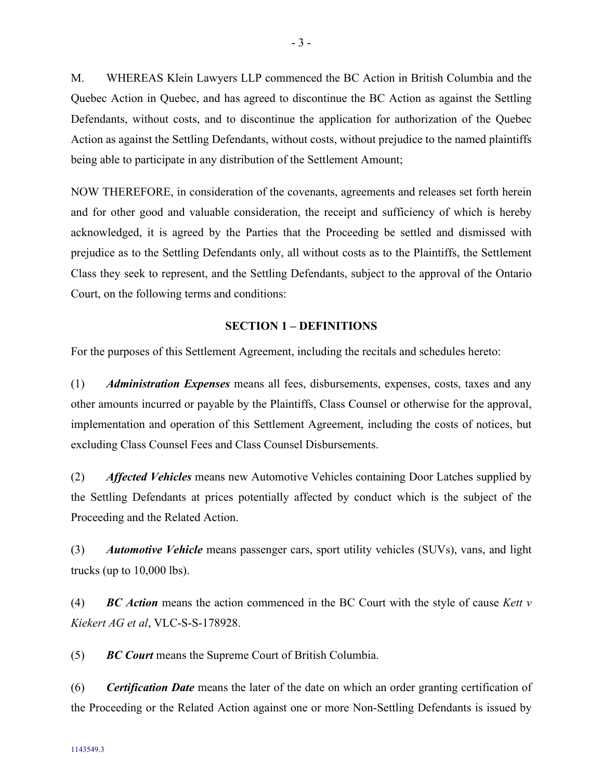M. WHEREAS Klein Lawyers LLP commenced the BC Action in British Columbia and the Quebec Action in Quebec, and has agreed to discontinue the BC Action as against the Settling Defendants, without costs, and to discontinue the application for authorization of the Quebec Action as against the Settling Defendants, without costs, without prejudice to the named plaintiffs being able to participate in any distribution of the Settlement Amount;

NOW THEREFORE, in consideration of the covenants, agreements and releases set forth herein and for other good and valuable consideration, the receipt and sufficiency of which is hereby acknowledged, it is agreed by the Parties that the Proceeding be settled and dismissed with prejudice as to the Settling Defendants only, all without costs as to the Plaintiffs, the Settlement Class they seek to represent, and the Settling Defendants, subject to the approval of the Ontario Court, on the following terms and conditions:

### <span id="page-6-0"></span>**SECTION 1 – DEFINITIONS**

For the purposes of this Settlement Agreement, including the recitals and schedules hereto:

(1) *Administration Expenses* means all fees, disbursements, expenses, costs, taxes and any other amounts incurred or payable by the Plaintiffs, Class Counsel or otherwise for the approval, implementation and operation of this Settlement Agreement, including the costs of notices, but excluding Class Counsel Fees and Class Counsel Disbursements.

(2) *Affected Vehicles* means new Automotive Vehicles containing Door Latches supplied by the Settling Defendants at prices potentially affected by conduct which is the subject of the Proceeding and the Related Action.

(3) *Automotive Vehicle* means passenger cars, sport utility vehicles (SUVs), vans, and light trucks (up to 10,000 lbs).

(4) *BC Action* means the action commenced in the BC Court with the style of cause *Kett v Kiekert AG et al*, VLC-S-S-178928.

(5) *BC Court* means the Supreme Court of British Columbia.

(6) *Certification Date* means the later of the date on which an order granting certification of the Proceeding or the Related Action against one or more Non-Settling Defendants is issued by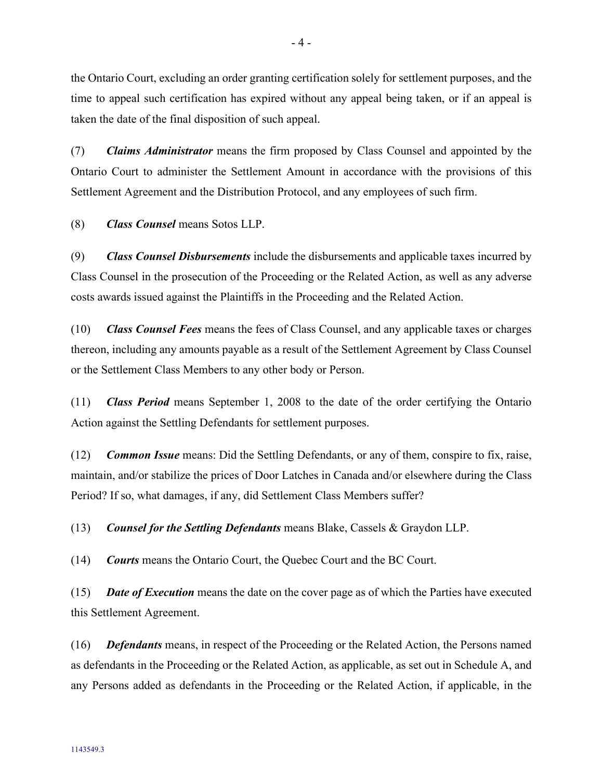the Ontario Court, excluding an order granting certification solely for settlement purposes, and the time to appeal such certification has expired without any appeal being taken, or if an appeal is taken the date of the final disposition of such appeal.

(7) *Claims Administrator* means the firm proposed by Class Counsel and appointed by the Ontario Court to administer the Settlement Amount in accordance with the provisions of this Settlement Agreement and the Distribution Protocol, and any employees of such firm.

(8) *Class Counsel* means Sotos LLP.

(9) *Class Counsel Disbursements* include the disbursements and applicable taxes incurred by Class Counsel in the prosecution of the Proceeding or the Related Action, as well as any adverse costs awards issued against the Plaintiffs in the Proceeding and the Related Action.

(10) *Class Counsel Fees* means the fees of Class Counsel, and any applicable taxes or charges thereon, including any amounts payable as a result of the Settlement Agreement by Class Counsel or the Settlement Class Members to any other body or Person.

(11) *Class Period* means September 1, 2008 to the date of the order certifying the Ontario Action against the Settling Defendants for settlement purposes.

(12) *Common Issue* means: Did the Settling Defendants, or any of them, conspire to fix, raise, maintain, and/or stabilize the prices of Door Latches in Canada and/or elsewhere during the Class Period? If so, what damages, if any, did Settlement Class Members suffer?

(13) *Counsel for the Settling Defendants* means Blake, Cassels & Graydon LLP.

(14) *Courts* means the Ontario Court, the Quebec Court and the BC Court.

(15) *Date of Execution* means the date on the cover page as of which the Parties have executed this Settlement Agreement.

(16) *Defendants* means, in respect of the Proceeding or the Related Action, the Persons named as defendants in the Proceeding or the Related Action, as applicable, as set out in Schedule A, and any Persons added as defendants in the Proceeding or the Related Action, if applicable, in the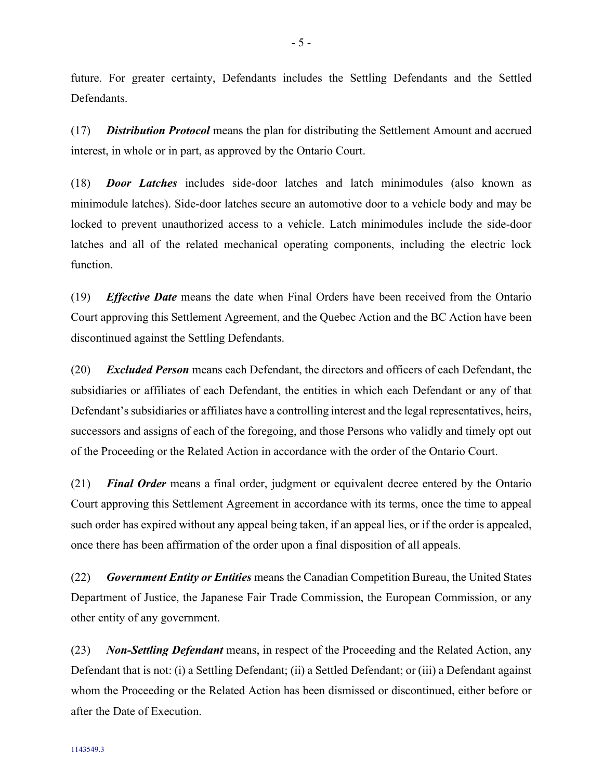future. For greater certainty, Defendants includes the Settling Defendants and the Settled Defendants.

(17) *Distribution Protocol* means the plan for distributing the Settlement Amount and accrued interest, in whole or in part, as approved by the Ontario Court.

(18) *Door Latches* includes side-door latches and latch minimodules (also known as minimodule latches). Side-door latches secure an automotive door to a vehicle body and may be locked to prevent unauthorized access to a vehicle. Latch minimodules include the side-door latches and all of the related mechanical operating components, including the electric lock function.

(19) *Effective Date* means the date when Final Orders have been received from the Ontario Court approving this Settlement Agreement, and the Quebec Action and the BC Action have been discontinued against the Settling Defendants.

(20) *Excluded Person* means each Defendant, the directors and officers of each Defendant, the subsidiaries or affiliates of each Defendant, the entities in which each Defendant or any of that Defendant's subsidiaries or affiliates have a controlling interest and the legal representatives, heirs, successors and assigns of each of the foregoing, and those Persons who validly and timely opt out of the Proceeding or the Related Action in accordance with the order of the Ontario Court.

(21) *Final Order* means a final order, judgment or equivalent decree entered by the Ontario Court approving this Settlement Agreement in accordance with its terms, once the time to appeal such order has expired without any appeal being taken, if an appeal lies, or if the order is appealed, once there has been affirmation of the order upon a final disposition of all appeals.

(22) *Government Entity or Entities* means the Canadian Competition Bureau, the United States Department of Justice, the Japanese Fair Trade Commission, the European Commission, or any other entity of any government.

(23) *Non-Settling Defendant* means, in respect of the Proceeding and the Related Action, any Defendant that is not: (i) a Settling Defendant; (ii) a Settled Defendant; or (iii) a Defendant against whom the Proceeding or the Related Action has been dismissed or discontinued, either before or after the Date of Execution.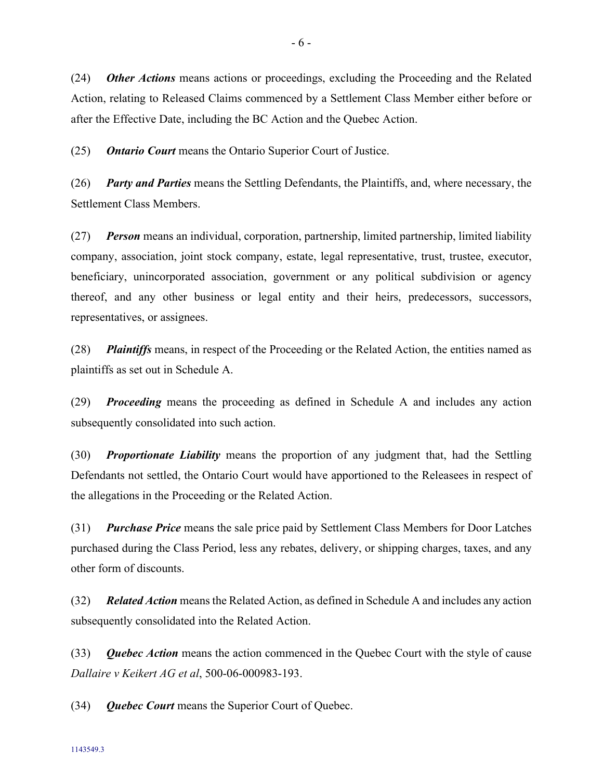(24) *Other Actions* means actions or proceedings, excluding the Proceeding and the Related Action, relating to Released Claims commenced by a Settlement Class Member either before or after the Effective Date, including the BC Action and the Quebec Action.

(25) *Ontario Court* means the Ontario Superior Court of Justice.

(26) *Party and Parties* means the Settling Defendants, the Plaintiffs, and, where necessary, the Settlement Class Members.

(27) *Person* means an individual, corporation, partnership, limited partnership, limited liability company, association, joint stock company, estate, legal representative, trust, trustee, executor, beneficiary, unincorporated association, government or any political subdivision or agency thereof, and any other business or legal entity and their heirs, predecessors, successors, representatives, or assignees.

(28) *Plaintiffs* means, in respect of the Proceeding or the Related Action, the entities named as plaintiffs as set out in Schedule A.

(29) *Proceeding* means the proceeding as defined in Schedule A and includes any action subsequently consolidated into such action.

(30) *Proportionate Liability* means the proportion of any judgment that, had the Settling Defendants not settled, the Ontario Court would have apportioned to the Releasees in respect of the allegations in the Proceeding or the Related Action.

(31) *Purchase Price* means the sale price paid by Settlement Class Members for Door Latches purchased during the Class Period, less any rebates, delivery, or shipping charges, taxes, and any other form of discounts.

(32) *Related Action* means the Related Action, as defined in Schedule A and includes any action subsequently consolidated into the Related Action.

(33) *Quebec Action* means the action commenced in the Quebec Court with the style of cause *Dallaire v Keikert AG et al*, 500-06-000983-193.

(34) *Quebec Court* means the Superior Court of Quebec.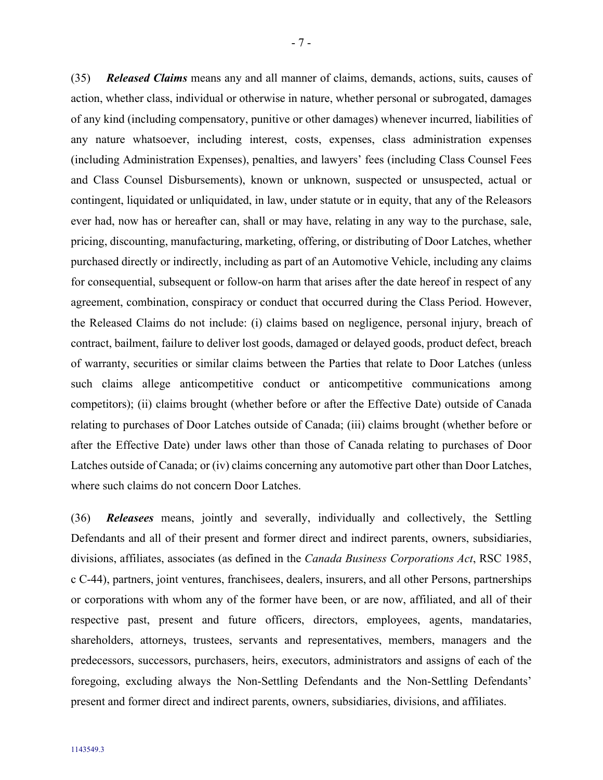- 7 -

action, whether class, individual or otherwise in nature, whether personal or subrogated, damages of any kind (including compensatory, punitive or other damages) whenever incurred, liabilities of any nature whatsoever, including interest, costs, expenses, class administration expenses (including Administration Expenses), penalties, and lawyers' fees (including Class Counsel Fees and Class Counsel Disbursements), known or unknown, suspected or unsuspected, actual or contingent, liquidated or unliquidated, in law, under statute or in equity, that any of the Releasors ever had, now has or hereafter can, shall or may have, relating in any way to the purchase, sale, pricing, discounting, manufacturing, marketing, offering, or distributing of Door Latches, whether purchased directly or indirectly, including as part of an Automotive Vehicle, including any claims for consequential, subsequent or follow-on harm that arises after the date hereof in respect of any agreement, combination, conspiracy or conduct that occurred during the Class Period. However, the Released Claims do not include: (i) claims based on negligence, personal injury, breach of contract, bailment, failure to deliver lost goods, damaged or delayed goods, product defect, breach of warranty, securities or similar claims between the Parties that relate to Door Latches (unless such claims allege anticompetitive conduct or anticompetitive communications among competitors); (ii) claims brought (whether before or after the Effective Date) outside of Canada relating to purchases of Door Latches outside of Canada; (iii) claims brought (whether before or after the Effective Date) under laws other than those of Canada relating to purchases of Door Latches outside of Canada; or (iv) claims concerning any automotive part other than Door Latches, where such claims do not concern Door Latches.

(36) *Releasees* means, jointly and severally, individually and collectively, the Settling Defendants and all of their present and former direct and indirect parents, owners, subsidiaries, divisions, affiliates, associates (as defined in the *Canada Business Corporations Act*, RSC 1985, c C-44), partners, joint ventures, franchisees, dealers, insurers, and all other Persons, partnerships or corporations with whom any of the former have been, or are now, affiliated, and all of their respective past, present and future officers, directors, employees, agents, mandataries, shareholders, attorneys, trustees, servants and representatives, members, managers and the predecessors, successors, purchasers, heirs, executors, administrators and assigns of each of the foregoing, excluding always the Non-Settling Defendants and the Non-Settling Defendants' present and former direct and indirect parents, owners, subsidiaries, divisions, and affiliates.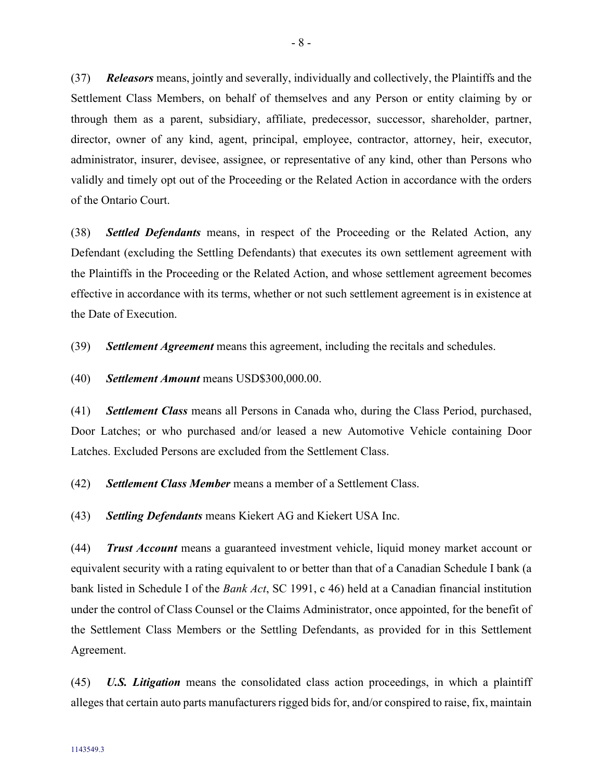(37) *Releasors* means, jointly and severally, individually and collectively, the Plaintiffs and the Settlement Class Members, on behalf of themselves and any Person or entity claiming by or through them as a parent, subsidiary, affiliate, predecessor, successor, shareholder, partner, director, owner of any kind, agent, principal, employee, contractor, attorney, heir, executor, administrator, insurer, devisee, assignee, or representative of any kind, other than Persons who validly and timely opt out of the Proceeding or the Related Action in accordance with the orders of the Ontario Court.

(38) *Settled Defendants* means, in respect of the Proceeding or the Related Action, any Defendant (excluding the Settling Defendants) that executes its own settlement agreement with the Plaintiffs in the Proceeding or the Related Action, and whose settlement agreement becomes effective in accordance with its terms, whether or not such settlement agreement is in existence at the Date of Execution.

(39) *Settlement Agreement* means this agreement, including the recitals and schedules.

(40) *Settlement Amount* means USD\$300,000.00.

(41) *Settlement Class* means all Persons in Canada who, during the Class Period, purchased, Door Latches; or who purchased and/or leased a new Automotive Vehicle containing Door Latches. Excluded Persons are excluded from the Settlement Class.

(42) *Settlement Class Member* means a member of a Settlement Class.

(43) *Settling Defendants* means Kiekert AG and Kiekert USA Inc.

(44) *Trust Account* means a guaranteed investment vehicle, liquid money market account or equivalent security with a rating equivalent to or better than that of a Canadian Schedule I bank (a bank listed in Schedule I of the *Bank Act*, SC 1991, c 46) held at a Canadian financial institution under the control of Class Counsel or the Claims Administrator, once appointed, for the benefit of the Settlement Class Members or the Settling Defendants, as provided for in this Settlement Agreement.

(45) *U.S. Litigation* means the consolidated class action proceedings, in which a plaintiff alleges that certain auto parts manufacturers rigged bids for, and/or conspired to raise, fix, maintain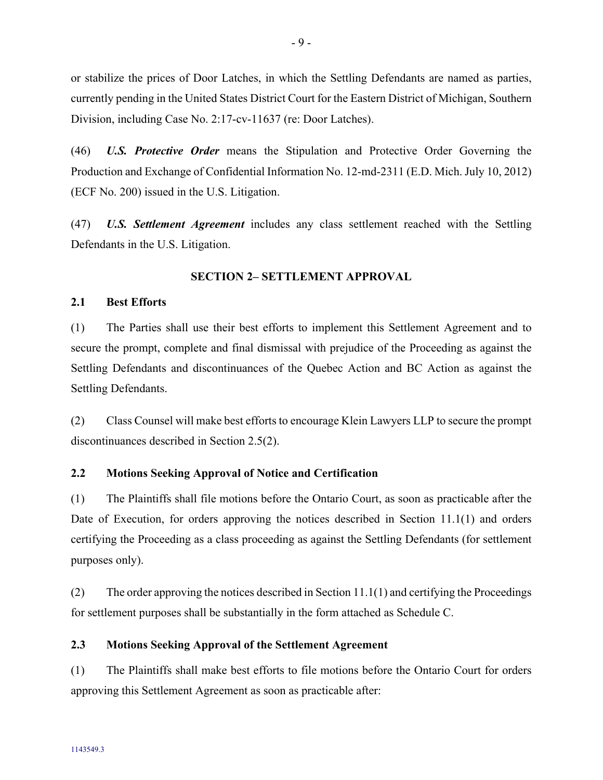or stabilize the prices of Door Latches, in which the Settling Defendants are named as parties, currently pending in the United States District Court for the Eastern District of Michigan, Southern Division, including Case No. 2:17-cv-11637 (re: Door Latches).

(46) *U.S. Protective Order* means the Stipulation and Protective Order Governing the Production and Exchange of Confidential Information No. 12-md-2311 (E.D. Mich. July 10, 2012) (ECF No. 200) issued in the U.S. Litigation.

(47) *U.S. Settlement Agreement* includes any class settlement reached with the Settling Defendants in the U.S. Litigation.

### **SECTION 2– SETTLEMENT APPROVAL**

### <span id="page-12-1"></span><span id="page-12-0"></span>**2.1 Best Efforts**

(1) The Parties shall use their best efforts to implement this Settlement Agreement and to secure the prompt, complete and final dismissal with prejudice of the Proceeding as against the Settling Defendants and discontinuances of the Quebec Action and BC Action as against the Settling Defendants.

(2) Class Counsel will make best efforts to encourage Klein Lawyers LLP to secure the prompt discontinuances described in Section [2.5\(2\).](#page-13-2)

### <span id="page-12-2"></span>**2.2 Motions Seeking Approval of Notice and Certification**

<span id="page-12-4"></span>(1) The Plaintiffs shall file motions before the Ontario Court, as soon as practicable after the Date of Execution, for orders approving the notices described in Section [11.1\(1\)](#page-40-5) and orders certifying the Proceeding as a class proceeding as against the Settling Defendants (for settlement purposes only).

(2) The order approving the notices described in Sectio[n 11.1\(1\)](#page-40-5) and certifying the Proceedings for settlement purposes shall be substantially in the form attached as Schedule C.

### <span id="page-12-3"></span>**2.3 Motions Seeking Approval of the Settlement Agreement**

(1) The Plaintiffs shall make best efforts to file motions before the Ontario Court for orders approving this Settlement Agreement as soon as practicable after: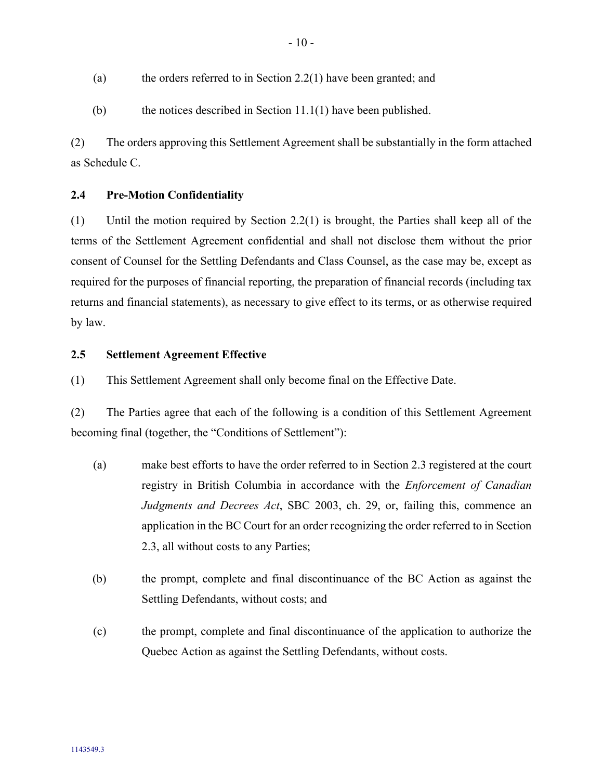- (a) the orders referred to in Section [2.2\(1\)](#page-12-4) have been granted; and
- (b) the notices described in Section  $11.1(1)$  have been published.

(2) The orders approving this Settlement Agreement shall be substantially in the form attached as Schedule C.

### <span id="page-13-0"></span>**2.4 Pre-Motion Confidentiality**

(1) Until the motion required by Section [2.2\(](#page-12-2)1) is brought, the Parties shall keep all of the terms of the Settlement Agreement confidential and shall not disclose them without the prior consent of Counsel for the Settling Defendants and Class Counsel, as the case may be, except as required for the purposes of financial reporting, the preparation of financial records (including tax returns and financial statements), as necessary to give effect to its terms, or as otherwise required by law.

#### <span id="page-13-1"></span>**2.5 Settlement Agreement Effective**

(1) This Settlement Agreement shall only become final on the Effective Date.

<span id="page-13-2"></span>(2) The Parties agree that each of the following is a condition of this Settlement Agreement becoming final (together, the "Conditions of Settlement"):

- (a) make best efforts to have the order referred to in Section [2.3](#page-12-3) registered at the court registry in British Columbia in accordance with the *Enforcement of Canadian Judgments and Decrees Act*, SBC 2003, ch. 29, or, failing this, commence an application in the BC Court for an order recognizing the order referred to in Section [2.3,](#page-12-3) all without costs to any Parties;
- (b) the prompt, complete and final discontinuance of the BC Action as against the Settling Defendants, without costs; and
- (c) the prompt, complete and final discontinuance of the application to authorize the Quebec Action as against the Settling Defendants, without costs.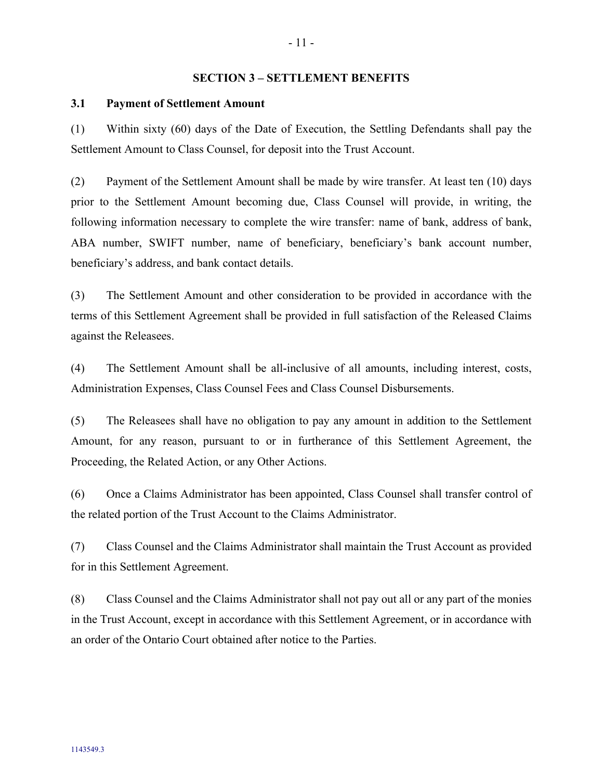#### <span id="page-14-0"></span>**SECTION 3 – SETTLEMENT BENEFITS**

### <span id="page-14-1"></span>**3.1 Payment of Settlement Amount**

<span id="page-14-2"></span>(1) Within sixty (60) days of the Date of Execution, the Settling Defendants shall pay the Settlement Amount to Class Counsel, for deposit into the Trust Account.

(2) Payment of the Settlement Amount shall be made by wire transfer. At least ten (10) days prior to the Settlement Amount becoming due, Class Counsel will provide, in writing, the following information necessary to complete the wire transfer: name of bank, address of bank, ABA number, SWIFT number, name of beneficiary, beneficiary's bank account number, beneficiary's address, and bank contact details.

(3) The Settlement Amount and other consideration to be provided in accordance with the terms of this Settlement Agreement shall be provided in full satisfaction of the Released Claims against the Releasees.

(4) The Settlement Amount shall be all-inclusive of all amounts, including interest, costs, Administration Expenses, Class Counsel Fees and Class Counsel Disbursements.

(5) The Releasees shall have no obligation to pay any amount in addition to the Settlement Amount, for any reason, pursuant to or in furtherance of this Settlement Agreement, the Proceeding, the Related Action, or any Other Actions.

(6) Once a Claims Administrator has been appointed, Class Counsel shall transfer control of the related portion of the Trust Account to the Claims Administrator.

<span id="page-14-3"></span>(7) Class Counsel and the Claims Administrator shall maintain the Trust Account as provided for in this Settlement Agreement.

(8) Class Counsel and the Claims Administrator shall not pay out all or any part of the monies in the Trust Account, except in accordance with this Settlement Agreement, or in accordance with an order of the Ontario Court obtained after notice to the Parties.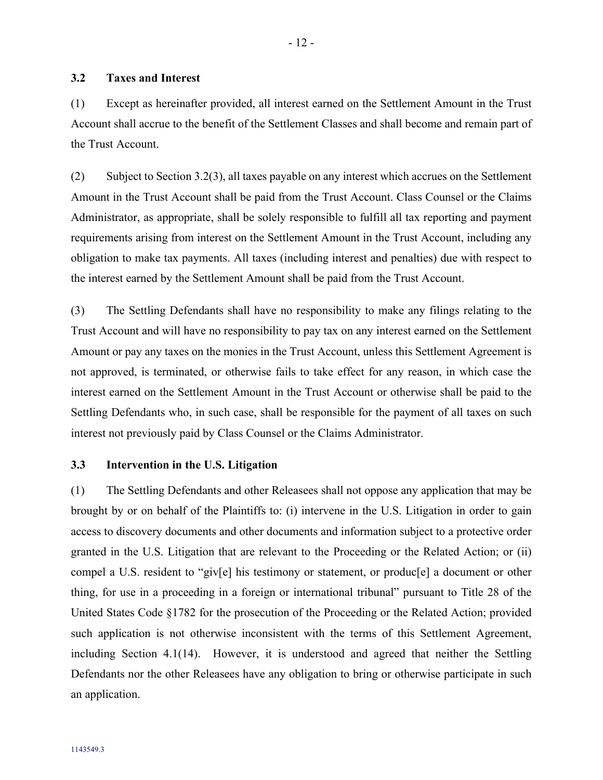### <span id="page-15-0"></span>**3.2 Taxes and Interest**

(1) Except as hereinafter provided, all interest earned on the Settlement Amount in the Trust Account shall accrue to the benefit of the Settlement Classes and shall become and remain part of the Trust Account.

(2) Subject to Section [3.2\(3\),](#page-15-2) all taxes payable on any interest which accrues on the Settlement Amount in the Trust Account shall be paid from the Trust Account. Class Counsel or the Claims Administrator, as appropriate, shall be solely responsible to fulfill all tax reporting and payment requirements arising from interest on the Settlement Amount in the Trust Account, including any obligation to make tax payments. All taxes (including interest and penalties) due with respect to the interest earned by the Settlement Amount shall be paid from the Trust Account.

<span id="page-15-2"></span>(3) The Settling Defendants shall have no responsibility to make any filings relating to the Trust Account and will have no responsibility to pay tax on any interest earned on the Settlement Amount or pay any taxes on the monies in the Trust Account, unless this Settlement Agreement is not approved, is terminated, or otherwise fails to take effect for any reason, in which case the interest earned on the Settlement Amount in the Trust Account or otherwise shall be paid to the Settling Defendants who, in such case, shall be responsible for the payment of all taxes on such interest not previously paid by Class Counsel or the Claims Administrator.

#### <span id="page-15-1"></span>**3.3 Intervention in the U.S. Litigation**

(1) The Settling Defendants and other Releasees shall not oppose any application that may be brought by or on behalf of the Plaintiffs to: (i) intervene in the U.S. Litigation in order to gain access to discovery documents and other documents and information subject to a protective order granted in the U.S. Litigation that are relevant to the Proceeding or the Related Action; or (ii) compel a U.S. resident to "giv[e] his testimony or statement, or produc[e] a document or other thing, for use in a proceeding in a foreign or international tribunal" pursuant to Title 28 of the United States Code §1782 for the prosecution of the Proceeding or the Related Action; provided such application is not otherwise inconsistent with the terms of this Settlement Agreement, including Section [4.1\(14\).](#page-23-0) However, it is understood and agreed that neither the Settling Defendants nor the other Releasees have any obligation to bring or otherwise participate in such an application.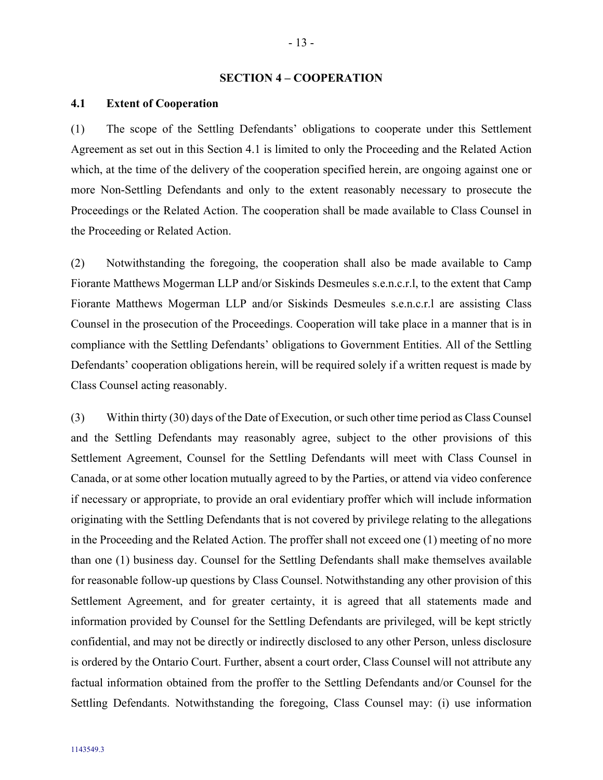#### <span id="page-16-0"></span>**SECTION 4 – COOPERATION**

### <span id="page-16-1"></span>**4.1 Extent of Cooperation**

(1) The scope of the Settling Defendants' obligations to cooperate under this Settlement Agreement as set out in this Section 4.1 is limited to only the Proceeding and the Related Action which, at the time of the delivery of the cooperation specified herein, are ongoing against one or more Non-Settling Defendants and only to the extent reasonably necessary to prosecute the Proceedings or the Related Action. The cooperation shall be made available to Class Counsel in the Proceeding or Related Action.

(2) Notwithstanding the foregoing, the cooperation shall also be made available to Camp Fiorante Matthews Mogerman LLP and/or Siskinds Desmeules s.e.n.c.r.l, to the extent that Camp Fiorante Matthews Mogerman LLP and/or Siskinds Desmeules s.e.n.c.r.l are assisting Class Counsel in the prosecution of the Proceedings. Cooperation will take place in a manner that is in compliance with the Settling Defendants' obligations to Government Entities. All of the Settling Defendants' cooperation obligations herein, will be required solely if a written request is made by Class Counsel acting reasonably.

<span id="page-16-2"></span>(3) Within thirty (30) days of the Date of Execution, or such other time period as Class Counsel and the Settling Defendants may reasonably agree, subject to the other provisions of this Settlement Agreement, Counsel for the Settling Defendants will meet with Class Counsel in Canada, or at some other location mutually agreed to by the Parties, or attend via video conference if necessary or appropriate, to provide an oral evidentiary proffer which will include information originating with the Settling Defendants that is not covered by privilege relating to the allegations in the Proceeding and the Related Action. The proffer shall not exceed one (1) meeting of no more than one (1) business day. Counsel for the Settling Defendants shall make themselves available for reasonable follow-up questions by Class Counsel. Notwithstanding any other provision of this Settlement Agreement, and for greater certainty, it is agreed that all statements made and information provided by Counsel for the Settling Defendants are privileged, will be kept strictly confidential, and may not be directly or indirectly disclosed to any other Person, unless disclosure is ordered by the Ontario Court. Further, absent a court order, Class Counsel will not attribute any factual information obtained from the proffer to the Settling Defendants and/or Counsel for the Settling Defendants. Notwithstanding the foregoing, Class Counsel may: (i) use information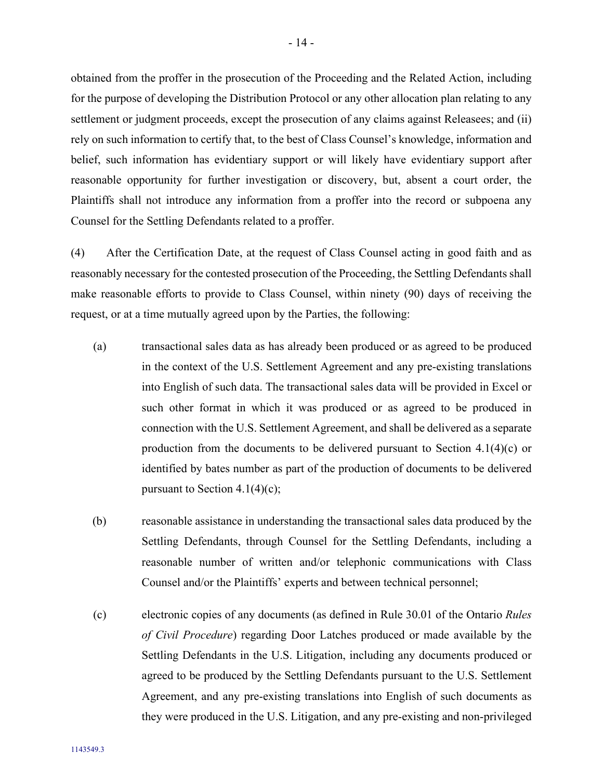obtained from the proffer in the prosecution of the Proceeding and the Related Action, including for the purpose of developing the Distribution Protocol or any other allocation plan relating to any settlement or judgment proceeds, except the prosecution of any claims against Releasees; and (ii) rely on such information to certify that, to the best of Class Counsel's knowledge, information and belief, such information has evidentiary support or will likely have evidentiary support after reasonable opportunity for further investigation or discovery, but, absent a court order, the Plaintiffs shall not introduce any information from a proffer into the record or subpoena any Counsel for the Settling Defendants related to a proffer.

<span id="page-17-0"></span>(4) After the Certification Date, at the request of Class Counsel acting in good faith and as reasonably necessary for the contested prosecution of the Proceeding, the Settling Defendants shall make reasonable efforts to provide to Class Counsel, within ninety (90) days of receiving the request, or at a time mutually agreed upon by the Parties, the following:

- <span id="page-17-2"></span>(a) transactional sales data as has already been produced or as agreed to be produced in the context of the U.S. Settlement Agreement and any pre-existing translations into English of such data. The transactional sales data will be provided in Excel or such other format in which it was produced or as agreed to be produced in connection with the U.S. Settlement Agreement, and shall be delivered as a separate production from the documents to be delivered pursuant to Section  $4.1(4)(c)$  $4.1(4)(c)$  $4.1(4)(c)$  or identified by bates number as part of the production of documents to be delivered pursuant to Section [4.1](#page-16-1)[\(4\)](#page-17-0)[\(c\);](#page-17-1)
- (b) reasonable assistance in understanding the transactional sales data produced by the Settling Defendants, through Counsel for the Settling Defendants, including a reasonable number of written and/or telephonic communications with Class Counsel and/or the Plaintiffs' experts and between technical personnel;
- <span id="page-17-1"></span>(c) electronic copies of any documents (as defined in Rule 30.01 of the Ontario *Rules of Civil Procedure*) regarding Door Latches produced or made available by the Settling Defendants in the U.S. Litigation, including any documents produced or agreed to be produced by the Settling Defendants pursuant to the U.S. Settlement Agreement, and any pre-existing translations into English of such documents as they were produced in the U.S. Litigation, and any pre-existing and non-privileged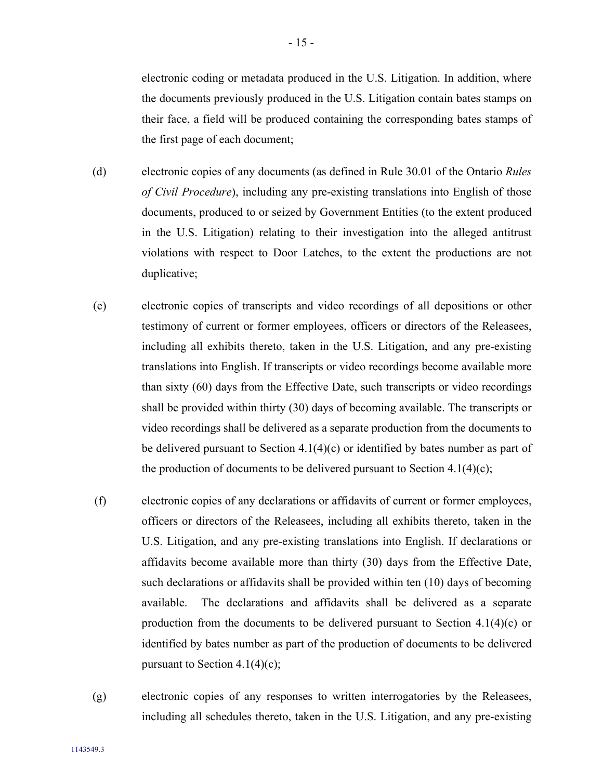electronic coding or metadata produced in the U.S. Litigation. In addition, where the documents previously produced in the U.S. Litigation contain bates stamps on their face, a field will be produced containing the corresponding bates stamps of the first page of each document;

- (d) electronic copies of any documents (as defined in Rule 30.01 of the Ontario *Rules of Civil Procedure*), including any pre-existing translations into English of those documents, produced to or seized by Government Entities (to the extent produced in the U.S. Litigation) relating to their investigation into the alleged antitrust violations with respect to Door Latches, to the extent the productions are not duplicative;
- (e) electronic copies of transcripts and video recordings of all depositions or other testimony of current or former employees, officers or directors of the Releasees, including all exhibits thereto, taken in the U.S. Litigation, and any pre-existing translations into English. If transcripts or video recordings become available more than sixty (60) days from the Effective Date, such transcripts or video recordings shall be provided within thirty (30) days of becoming available. The transcripts or video recordings shall be delivered as a separate production from the documents to be delivered pursuant to Section  $4.1(4)(c)$  $4.1(4)(c)$  $4.1(4)(c)$  or identified by bates number as part of the production of documents to be delivered pursuant to Section  $4.1(4)(c)$  $4.1(4)(c)$  $4.1(4)(c)$ ;
- (f) electronic copies of any declarations or affidavits of current or former employees, officers or directors of the Releasees, including all exhibits thereto, taken in the U.S. Litigation, and any pre-existing translations into English. If declarations or affidavits become available more than thirty (30) days from the Effective Date, such declarations or affidavits shall be provided within ten (10) days of becoming available. The declarations and affidavits shall be delivered as a separate production from the documents to be delivered pursuant to Section  $4.1(4)(c)$  $4.1(4)(c)$  $4.1(4)(c)$  or identified by bates number as part of the production of documents to be delivered pursuant to Section [4.1](#page-16-1)[\(4\)](#page-17-0)[\(c\);](#page-17-1)
- (g) electronic copies of any responses to written interrogatories by the Releasees, including all schedules thereto, taken in the U.S. Litigation, and any pre-existing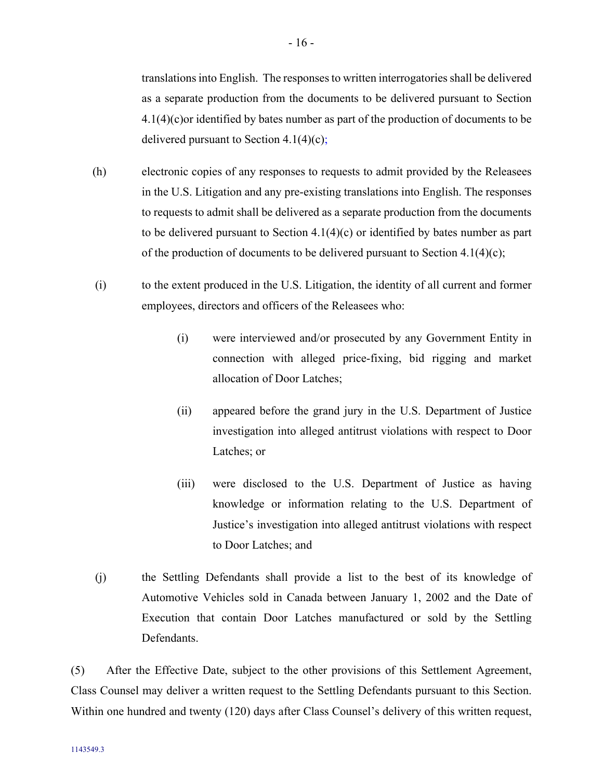translations into English. The responses to written interrogatories shall be delivered as a separate production from the documents to be delivered pursuant to Section [4.1](#page-16-1)[\(4\)](#page-17-0)[\(c\)o](#page-17-1)r identified by bates number as part of the production of documents to be delivered pursuant to Section  $4.1(4)(c)$  $4.1(4)(c)$  $4.1(4)(c)$ ;

- (h) electronic copies of any responses to requests to admit provided by the Releasees in the U.S. Litigation and any pre-existing translations into English. The responses to requests to admit shall be delivered as a separate production from the documents to be delivered pursuant to Section [4.1](#page-16-1)[\(4\)](#page-17-0)[\(c\)](#page-17-1) or identified by bates number as part of the production of documents to be delivered pursuant to Section  $4.1(4)(c)$  $4.1(4)(c)$  $4.1(4)(c)$ ;
- (i) to the extent produced in the U.S. Litigation, the identity of all current and former employees, directors and officers of the Releasees who:
	- (i) were interviewed and/or prosecuted by any Government Entity in connection with alleged price-fixing, bid rigging and market allocation of Door Latches;
	- (ii) appeared before the grand jury in the U.S. Department of Justice investigation into alleged antitrust violations with respect to Door Latches; or
	- (iii) were disclosed to the U.S. Department of Justice as having knowledge or information relating to the U.S. Department of Justice's investigation into alleged antitrust violations with respect to Door Latches; and
- (j) the Settling Defendants shall provide a list to the best of its knowledge of Automotive Vehicles sold in Canada between January 1, 2002 and the Date of Execution that contain Door Latches manufactured or sold by the Settling Defendants.

<span id="page-19-0"></span>(5) After the Effective Date, subject to the other provisions of this Settlement Agreement, Class Counsel may deliver a written request to the Settling Defendants pursuant to this Section. Within one hundred and twenty (120) days after Class Counsel's delivery of this written request,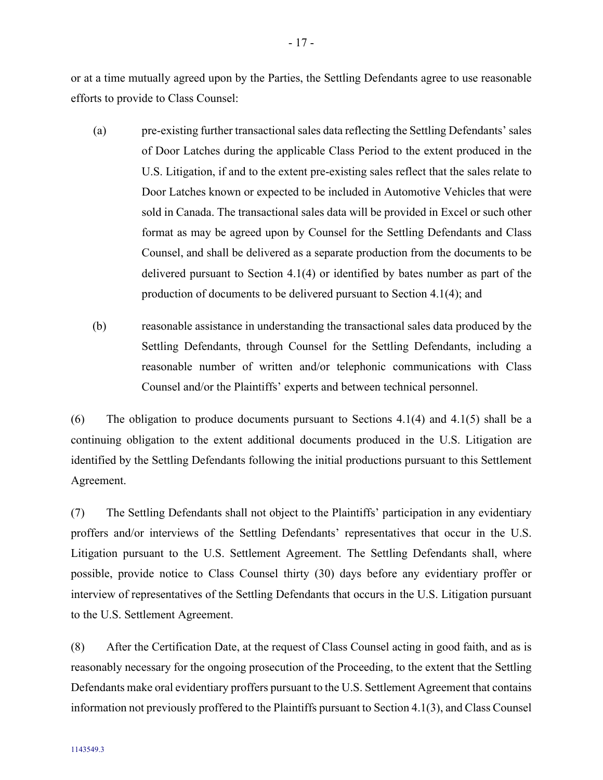or at a time mutually agreed upon by the Parties, the Settling Defendants agree to use reasonable efforts to provide to Class Counsel:

<span id="page-20-1"></span>(a) pre-existing further transactional sales data reflecting the Settling Defendants' sales of Door Latches during the applicable Class Period to the extent produced in the U.S. Litigation, if and to the extent pre-existing sales reflect that the sales relate to Door Latches known or expected to be included in Automotive Vehicles that were sold in Canada. The transactional sales data will be provided in Excel or such other format as may be agreed upon by Counsel for the Settling Defendants and Class Counsel, and shall be delivered as a separate production from the documents to be delivered pursuant to Section [4.1](#page-16-1)[\(4\)](#page-17-0) or identified by bates number as part of the production of documents to be delivered pursuant to Section [4.1](#page-16-1)[\(4\);](#page-17-0) and

(b) reasonable assistance in understanding the transactional sales data produced by the Settling Defendants, through Counsel for the Settling Defendants, including a reasonable number of written and/or telephonic communications with Class Counsel and/or the Plaintiffs' experts and between technical personnel.

<span id="page-20-2"></span>(6) The obligation to produce documents pursuant to Sections [4.1](#page-16-1)[\(4\)](#page-17-0) and 4.[1\(5\)](#page-19-0) shall be a continuing obligation to the extent additional documents produced in the U.S. Litigation are identified by the Settling Defendants following the initial productions pursuant to this Settlement Agreement.

<span id="page-20-0"></span>(7) The Settling Defendants shall not object to the Plaintiffs' participation in any evidentiary proffers and/or interviews of the Settling Defendants' representatives that occur in the U.S. Litigation pursuant to the U.S. Settlement Agreement. The Settling Defendants shall, where possible, provide notice to Class Counsel thirty (30) days before any evidentiary proffer or interview of representatives of the Settling Defendants that occurs in the U.S. Litigation pursuant to the U.S. Settlement Agreement.

<span id="page-20-3"></span>(8) After the Certification Date, at the request of Class Counsel acting in good faith, and as is reasonably necessary for the ongoing prosecution of the Proceeding, to the extent that the Settling Defendants make oral evidentiary proffers pursuant to the U.S. Settlement Agreement that contains information not previously proffered to the Plaintiffs pursuant to Section [4.1\(3\),](#page-16-2) and Class Counsel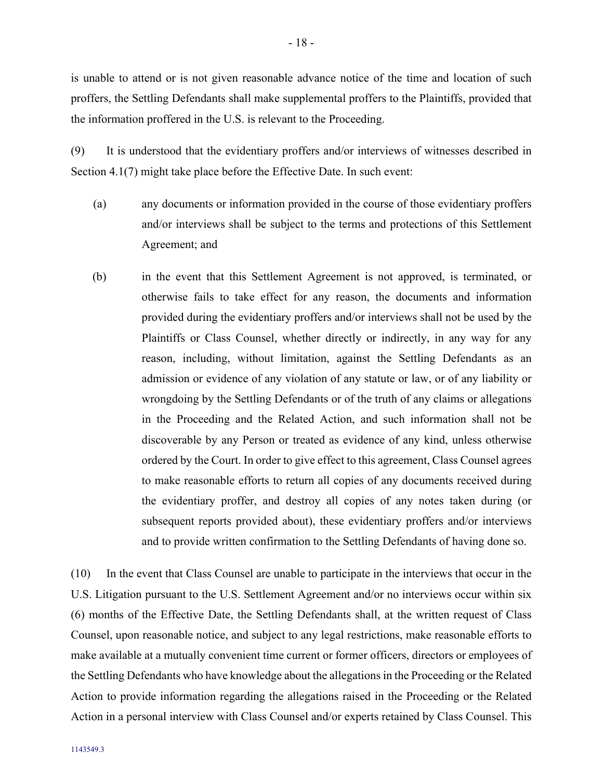is unable to attend or is not given reasonable advance notice of the time and location of such proffers, the Settling Defendants shall make supplemental proffers to the Plaintiffs, provided that the information proffered in the U.S. is relevant to the Proceeding.

<span id="page-21-0"></span>(9) It is understood that the evidentiary proffers and/or interviews of witnesses described in Section [4.1](#page-16-1)[\(7\)](#page-20-0) might take place before the Effective Date. In such event:

- (a) any documents or information provided in the course of those evidentiary proffers and/or interviews shall be subject to the terms and protections of this Settlement Agreement; and
- <span id="page-21-1"></span>(b) in the event that this Settlement Agreement is not approved, is terminated, or otherwise fails to take effect for any reason, the documents and information provided during the evidentiary proffers and/or interviews shall not be used by the Plaintiffs or Class Counsel, whether directly or indirectly, in any way for any reason, including, without limitation, against the Settling Defendants as an admission or evidence of any violation of any statute or law, or of any liability or wrongdoing by the Settling Defendants or of the truth of any claims or allegations in the Proceeding and the Related Action, and such information shall not be discoverable by any Person or treated as evidence of any kind, unless otherwise ordered by the Court. In order to give effect to this agreement, Class Counsel agrees to make reasonable efforts to return all copies of any documents received during the evidentiary proffer, and destroy all copies of any notes taken during (or subsequent reports provided about), these evidentiary proffers and/or interviews and to provide written confirmation to the Settling Defendants of having done so.

(10) In the event that Class Counsel are unable to participate in the interviews that occur in the U.S. Litigation pursuant to the U.S. Settlement Agreement and/or no interviews occur within six (6) months of the Effective Date, the Settling Defendants shall, at the written request of Class Counsel, upon reasonable notice, and subject to any legal restrictions, make reasonable efforts to make available at a mutually convenient time current or former officers, directors or employees of the Settling Defendants who have knowledge about the allegations in the Proceeding or the Related Action to provide information regarding the allegations raised in the Proceeding or the Related Action in a personal interview with Class Counsel and/or experts retained by Class Counsel. This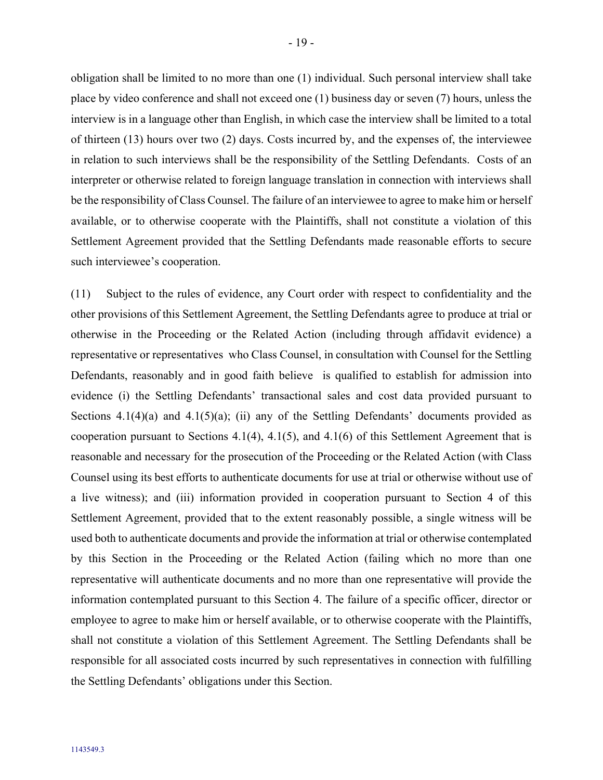obligation shall be limited to no more than one (1) individual. Such personal interview shall take place by video conference and shall not exceed one (1) business day or seven (7) hours, unless the interview is in a language other than English, in which case the interview shall be limited to a total of thirteen (13) hours over two (2) days. Costs incurred by, and the expenses of, the interviewee in relation to such interviews shall be the responsibility of the Settling Defendants. Costs of an interpreter or otherwise related to foreign language translation in connection with interviews shall be the responsibility of Class Counsel. The failure of an interviewee to agree to make him or herself available, or to otherwise cooperate with the Plaintiffs, shall not constitute a violation of this Settlement Agreement provided that the Settling Defendants made reasonable efforts to secure such interviewee's cooperation.

(11) Subject to the rules of evidence, any Court order with respect to confidentiality and the other provisions of this Settlement Agreement, the Settling Defendants agree to produce at trial or otherwise in the Proceeding or the Related Action (including through affidavit evidence) a representative or representatives who Class Counsel, in consultation with Counsel for the Settling Defendants, reasonably and in good faith believe is qualified to establish for admission into evidence (i) the Settling Defendants' transactional sales and cost data provided pursuant to Sections  $4.1(4)(a)$  and  $4.1(5)(a)$ ; (ii) any of the Settling Defendants' documents provided as cooperation pursuant to Sections [4.1](#page-16-1)[\(4\),](#page-17-0) 4.[1\(5\),](#page-19-0) and 4.[1\(6\)](#page-20-2) of this Settlement Agreement that is reasonable and necessary for the prosecution of the Proceeding or the Related Action (with Class Counsel using its best efforts to authenticate documents for use at trial or otherwise without use of a live witness); and (iii) information provided in cooperation pursuant to Section [4](#page-16-0) of this Settlement Agreement, provided that to the extent reasonably possible, a single witness will be used both to authenticate documents and provide the information at trial or otherwise contemplated by this Section in the Proceeding or the Related Action (failing which no more than one representative will authenticate documents and no more than one representative will provide the information contemplated pursuant to this Section 4. The failure of a specific officer, director or employee to agree to make him or herself available, or to otherwise cooperate with the Plaintiffs, shall not constitute a violation of this Settlement Agreement. The Settling Defendants shall be responsible for all associated costs incurred by such representatives in connection with fulfilling the Settling Defendants' obligations under this Section.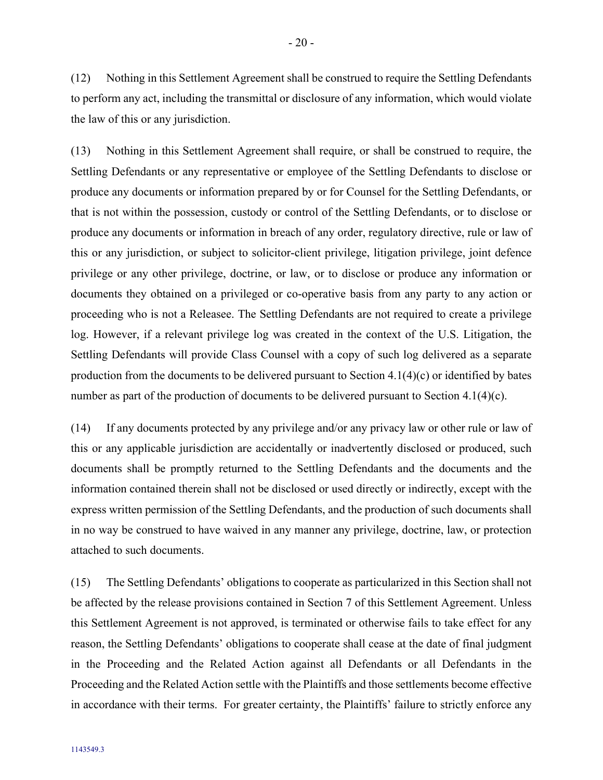(12) Nothing in this Settlement Agreement shall be construed to require the Settling Defendants to perform any act, including the transmittal or disclosure of any information, which would violate the law of this or any jurisdiction.

(13) Nothing in this Settlement Agreement shall require, or shall be construed to require, the Settling Defendants or any representative or employee of the Settling Defendants to disclose or produce any documents or information prepared by or for Counsel for the Settling Defendants, or that is not within the possession, custody or control of the Settling Defendants, or to disclose or produce any documents or information in breach of any order, regulatory directive, rule or law of this or any jurisdiction, or subject to solicitor-client privilege, litigation privilege, joint defence privilege or any other privilege, doctrine, or law, or to disclose or produce any information or documents they obtained on a privileged or co-operative basis from any party to any action or proceeding who is not a Releasee. The Settling Defendants are not required to create a privilege log. However, if a relevant privilege log was created in the context of the U.S. Litigation, the Settling Defendants will provide Class Counsel with a copy of such log delivered as a separate production from the documents to be delivered pursuant to Section 4.[1\(4\)\(c\)](#page-17-1) or identified by bates number as part of the production of documents to be delivered pursuant to Section 4.[1\(4\)\(c\).](#page-17-1)

<span id="page-23-0"></span>(14) If any documents protected by any privilege and/or any privacy law or other rule or law of this or any applicable jurisdiction are accidentally or inadvertently disclosed or produced, such documents shall be promptly returned to the Settling Defendants and the documents and the information contained therein shall not be disclosed or used directly or indirectly, except with the express written permission of the Settling Defendants, and the production of such documents shall in no way be construed to have waived in any manner any privilege, doctrine, law, or protection attached to such documents.

(15) The Settling Defendants' obligations to cooperate as particularized in this Section shall not be affected by the release provisions contained in Section [7](#page-32-2) of this Settlement Agreement. Unless this Settlement Agreement is not approved, is terminated or otherwise fails to take effect for any reason, the Settling Defendants' obligations to cooperate shall cease at the date of final judgment in the Proceeding and the Related Action against all Defendants or all Defendants in the Proceeding and the Related Action settle with the Plaintiffs and those settlements become effective in accordance with their terms. For greater certainty, the Plaintiffs' failure to strictly enforce any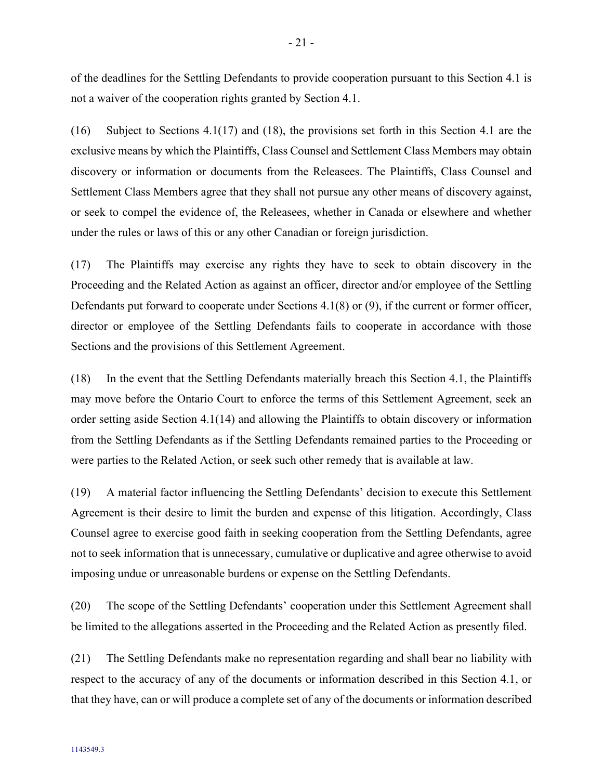of the deadlines for the Settling Defendants to provide cooperation pursuant to this Section [4.1](#page-16-1) is not a waiver of the cooperation rights granted by Section [4.1.](#page-16-1)

(16) Subject to Sections [4.1](#page-16-1)[\(17\)](#page-24-0) and [\(18\),](#page-24-1) the provisions set forth in this Section [4.1](#page-16-1) are the exclusive means by which the Plaintiffs, Class Counsel and Settlement Class Members may obtain discovery or information or documents from the Releasees. The Plaintiffs, Class Counsel and Settlement Class Members agree that they shall not pursue any other means of discovery against, or seek to compel the evidence of, the Releasees, whether in Canada or elsewhere and whether under the rules or laws of this or any other Canadian or foreign jurisdiction.

<span id="page-24-0"></span>(17) The Plaintiffs may exercise any rights they have to seek to obtain discovery in the Proceeding and the Related Action as against an officer, director and/or employee of the Settling Defendants put forward to cooperate under Sections [4.1](#page-16-1)[\(8\)](#page-20-3) or [\(9\),](#page-21-0) if the current or former officer, director or employee of the Settling Defendants fails to cooperate in accordance with those Sections and the provisions of this Settlement Agreement.

<span id="page-24-1"></span>(18) In the event that the Settling Defendants materially breach this Section [4.1,](#page-16-1) the Plaintiffs may move before the Ontario Court to enforce the terms of this Settlement Agreement, seek an order setting aside Section [4.1](#page-16-1)[\(14\)](#page-23-0) and allowing the Plaintiffs to obtain discovery or information from the Settling Defendants as if the Settling Defendants remained parties to the Proceeding or were parties to the Related Action, or seek such other remedy that is available at law.

(19) A material factor influencing the Settling Defendants' decision to execute this Settlement Agreement is their desire to limit the burden and expense of this litigation. Accordingly, Class Counsel agree to exercise good faith in seeking cooperation from the Settling Defendants, agree not to seek information that is unnecessary, cumulative or duplicative and agree otherwise to avoid imposing undue or unreasonable burdens or expense on the Settling Defendants.

(20) The scope of the Settling Defendants' cooperation under this Settlement Agreement shall be limited to the allegations asserted in the Proceeding and the Related Action as presently filed.

(21) The Settling Defendants make no representation regarding and shall bear no liability with respect to the accuracy of any of the documents or information described in this Section [4.1,](#page-16-1) or that they have, can or will produce a complete set of any of the documents or information described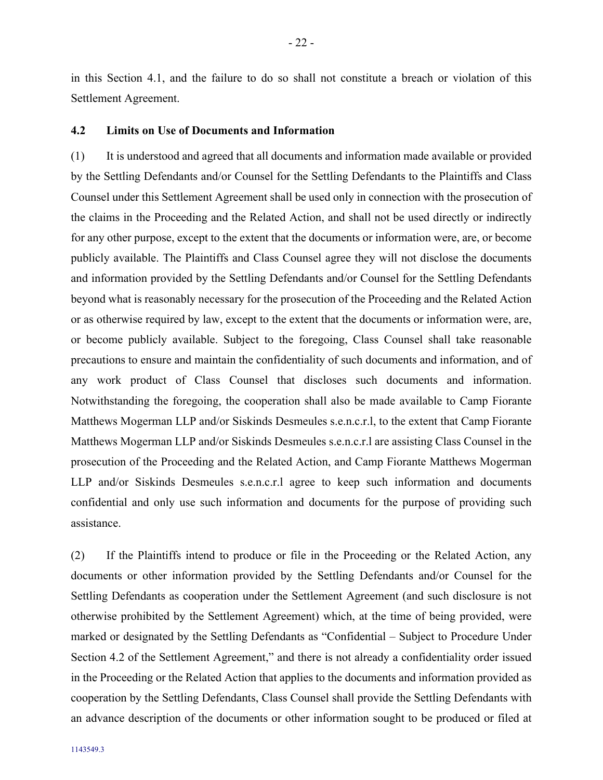in this Section [4.1,](#page-16-1) and the failure to do so shall not constitute a breach or violation of this Settlement Agreement.

#### <span id="page-25-0"></span>**4.2 Limits on Use of Documents and Information**

(1) It is understood and agreed that all documents and information made available or provided by the Settling Defendants and/or Counsel for the Settling Defendants to the Plaintiffs and Class Counsel under this Settlement Agreement shall be used only in connection with the prosecution of the claims in the Proceeding and the Related Action, and shall not be used directly or indirectly for any other purpose, except to the extent that the documents or information were, are, or become publicly available. The Plaintiffs and Class Counsel agree they will not disclose the documents and information provided by the Settling Defendants and/or Counsel for the Settling Defendants beyond what is reasonably necessary for the prosecution of the Proceeding and the Related Action or as otherwise required by law, except to the extent that the documents or information were, are, or become publicly available. Subject to the foregoing, Class Counsel shall take reasonable precautions to ensure and maintain the confidentiality of such documents and information, and of any work product of Class Counsel that discloses such documents and information. Notwithstanding the foregoing, the cooperation shall also be made available to Camp Fiorante Matthews Mogerman LLP and/or Siskinds Desmeules s.e.n.c.r.l, to the extent that Camp Fiorante Matthews Mogerman LLP and/or Siskinds Desmeules s.e.n.c.r.l are assisting Class Counsel in the prosecution of the Proceeding and the Related Action, and Camp Fiorante Matthews Mogerman LLP and/or Siskinds Desmeules s.e.n.c.r.l agree to keep such information and documents confidential and only use such information and documents for the purpose of providing such assistance.

<span id="page-25-1"></span>(2) If the Plaintiffs intend to produce or file in the Proceeding or the Related Action, any documents or other information provided by the Settling Defendants and/or Counsel for the Settling Defendants as cooperation under the Settlement Agreement (and such disclosure is not otherwise prohibited by the Settlement Agreement) which, at the time of being provided, were marked or designated by the Settling Defendants as "Confidential – Subject to Procedure Under Section [4.2](#page-25-0) of the Settlement Agreement," and there is not already a confidentiality order issued in the Proceeding or the Related Action that applies to the documents and information provided as cooperation by the Settling Defendants, Class Counsel shall provide the Settling Defendants with an advance description of the documents or other information sought to be produced or filed at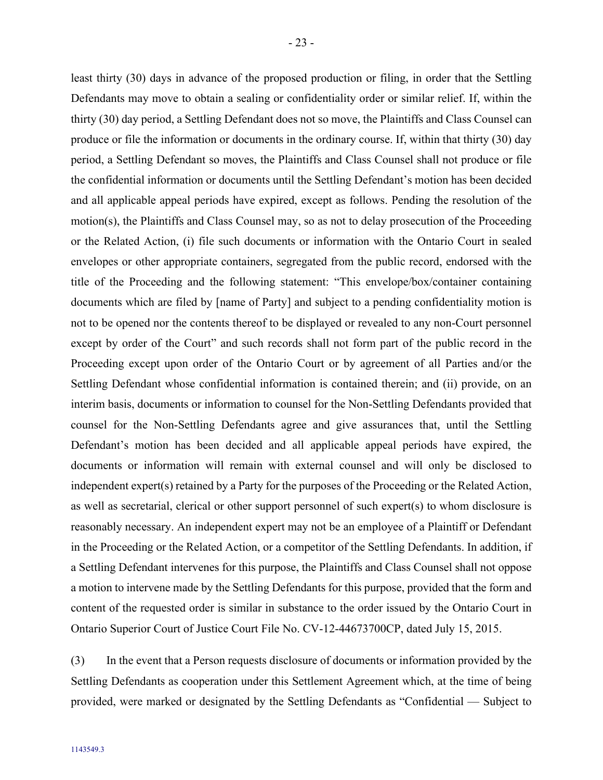least thirty (30) days in advance of the proposed production or filing, in order that the Settling Defendants may move to obtain a sealing or confidentiality order or similar relief. If, within the thirty (30) day period, a Settling Defendant does not so move, the Plaintiffs and Class Counsel can produce or file the information or documents in the ordinary course. If, within that thirty (30) day period, a Settling Defendant so moves, the Plaintiffs and Class Counsel shall not produce or file the confidential information or documents until the Settling Defendant's motion has been decided and all applicable appeal periods have expired, except as follows. Pending the resolution of the motion(s), the Plaintiffs and Class Counsel may, so as not to delay prosecution of the Proceeding or the Related Action, (i) file such documents or information with the Ontario Court in sealed envelopes or other appropriate containers, segregated from the public record, endorsed with the title of the Proceeding and the following statement: "This envelope/box/container containing documents which are filed by [name of Party] and subject to a pending confidentiality motion is not to be opened nor the contents thereof to be displayed or revealed to any non-Court personnel except by order of the Court" and such records shall not form part of the public record in the Proceeding except upon order of the Ontario Court or by agreement of all Parties and/or the Settling Defendant whose confidential information is contained therein; and (ii) provide, on an interim basis, documents or information to counsel for the Non-Settling Defendants provided that counsel for the Non-Settling Defendants agree and give assurances that, until the Settling Defendant's motion has been decided and all applicable appeal periods have expired, the documents or information will remain with external counsel and will only be disclosed to independent expert(s) retained by a Party for the purposes of the Proceeding or the Related Action, as well as secretarial, clerical or other support personnel of such expert(s) to whom disclosure is reasonably necessary. An independent expert may not be an employee of a Plaintiff or Defendant in the Proceeding or the Related Action, or a competitor of the Settling Defendants. In addition, if a Settling Defendant intervenes for this purpose, the Plaintiffs and Class Counsel shall not oppose a motion to intervene made by the Settling Defendants for this purpose, provided that the form and content of the requested order is similar in substance to the order issued by the Ontario Court in Ontario Superior Court of Justice Court File No. CV-12-44673700CP, dated July 15, 2015.

(3) In the event that a Person requests disclosure of documents or information provided by the Settling Defendants as cooperation under this Settlement Agreement which, at the time of being provided, were marked or designated by the Settling Defendants as "Confidential — Subject to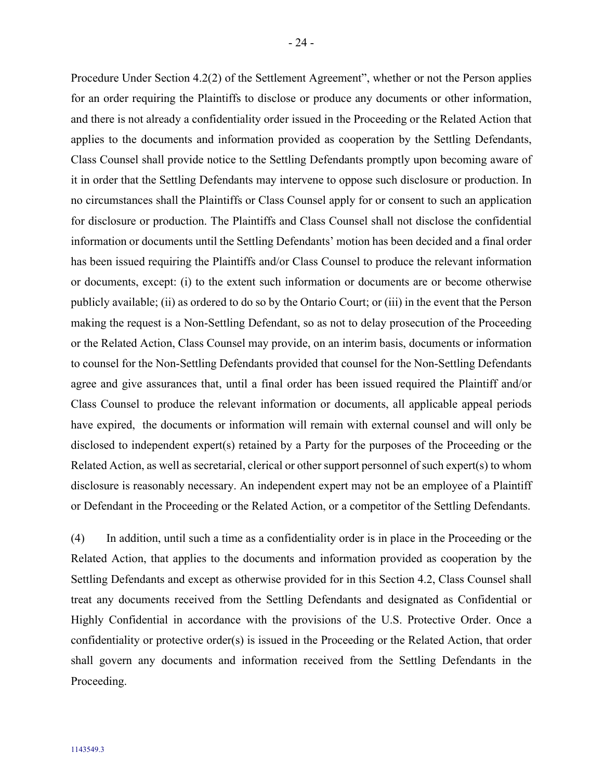Procedure Under Section [4.2](#page-25-0)[\(2\)](#page-25-1) of the Settlement Agreement", whether or not the Person applies for an order requiring the Plaintiffs to disclose or produce any documents or other information, and there is not already a confidentiality order issued in the Proceeding or the Related Action that applies to the documents and information provided as cooperation by the Settling Defendants, Class Counsel shall provide notice to the Settling Defendants promptly upon becoming aware of it in order that the Settling Defendants may intervene to oppose such disclosure or production. In no circumstances shall the Plaintiffs or Class Counsel apply for or consent to such an application for disclosure or production. The Plaintiffs and Class Counsel shall not disclose the confidential information or documents until the Settling Defendants' motion has been decided and a final order has been issued requiring the Plaintiffs and/or Class Counsel to produce the relevant information or documents, except: (i) to the extent such information or documents are or become otherwise publicly available; (ii) as ordered to do so by the Ontario Court; or (iii) in the event that the Person making the request is a Non-Settling Defendant, so as not to delay prosecution of the Proceeding or the Related Action, Class Counsel may provide, on an interim basis, documents or information to counsel for the Non-Settling Defendants provided that counsel for the Non-Settling Defendants agree and give assurances that, until a final order has been issued required the Plaintiff and/or Class Counsel to produce the relevant information or documents, all applicable appeal periods have expired, the documents or information will remain with external counsel and will only be disclosed to independent expert(s) retained by a Party for the purposes of the Proceeding or the Related Action, as well as secretarial, clerical or other support personnel of such expert(s) to whom disclosure is reasonably necessary. An independent expert may not be an employee of a Plaintiff or Defendant in the Proceeding or the Related Action, or a competitor of the Settling Defendants.

(4) In addition, until such a time as a confidentiality order is in place in the Proceeding or the Related Action, that applies to the documents and information provided as cooperation by the Settling Defendants and except as otherwise provided for in this Section [4.2,](#page-25-0) Class Counsel shall treat any documents received from the Settling Defendants and designated as Confidential or Highly Confidential in accordance with the provisions of the U.S. Protective Order. Once a confidentiality or protective order(s) is issued in the Proceeding or the Related Action, that order shall govern any documents and information received from the Settling Defendants in the Proceeding.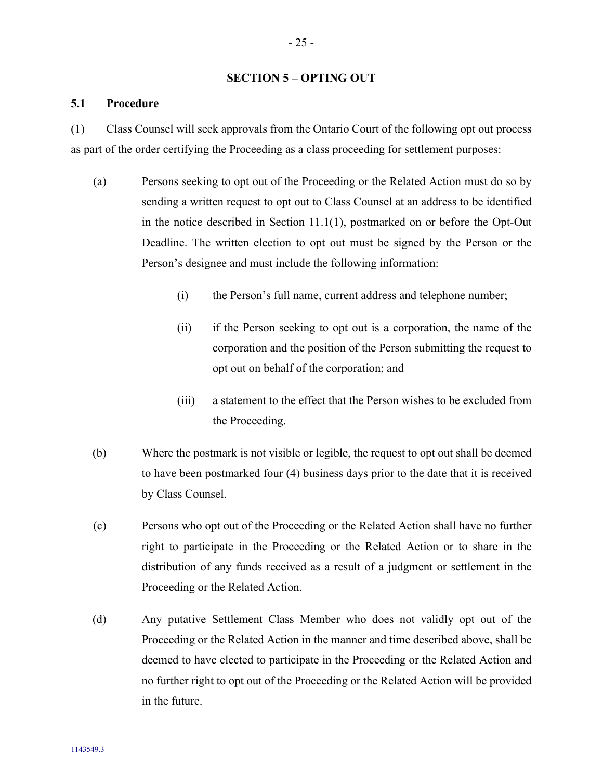### <span id="page-28-0"></span>**SECTION 5 – OPTING OUT**

### <span id="page-28-1"></span>**5.1 Procedure**

(1) Class Counsel will seek approvals from the Ontario Court of the following opt out process as part of the order certifying the Proceeding as a class proceeding for settlement purposes:

- <span id="page-28-2"></span>(a) Persons seeking to opt out of the Proceeding or the Related Action must do so by sending a written request to opt out to Class Counsel at an address to be identified in the notice described in Section [11.1\(](#page-40-1)1), postmarked on or before the Opt-Out Deadline. The written election to opt out must be signed by the Person or the Person's designee and must include the following information:
	- (i) the Person's full name, current address and telephone number;
	- (ii) if the Person seeking to opt out is a corporation, the name of the corporation and the position of the Person submitting the request to opt out on behalf of the corporation; and
	- (iii) a statement to the effect that the Person wishes to be excluded from the Proceeding.
- (b) Where the postmark is not visible or legible, the request to opt out shall be deemed to have been postmarked four (4) business days prior to the date that it is received by Class Counsel.
- (c) Persons who opt out of the Proceeding or the Related Action shall have no further right to participate in the Proceeding or the Related Action or to share in the distribution of any funds received as a result of a judgment or settlement in the Proceeding or the Related Action.
- (d) Any putative Settlement Class Member who does not validly opt out of the Proceeding or the Related Action in the manner and time described above, shall be deemed to have elected to participate in the Proceeding or the Related Action and no further right to opt out of the Proceeding or the Related Action will be provided in the future.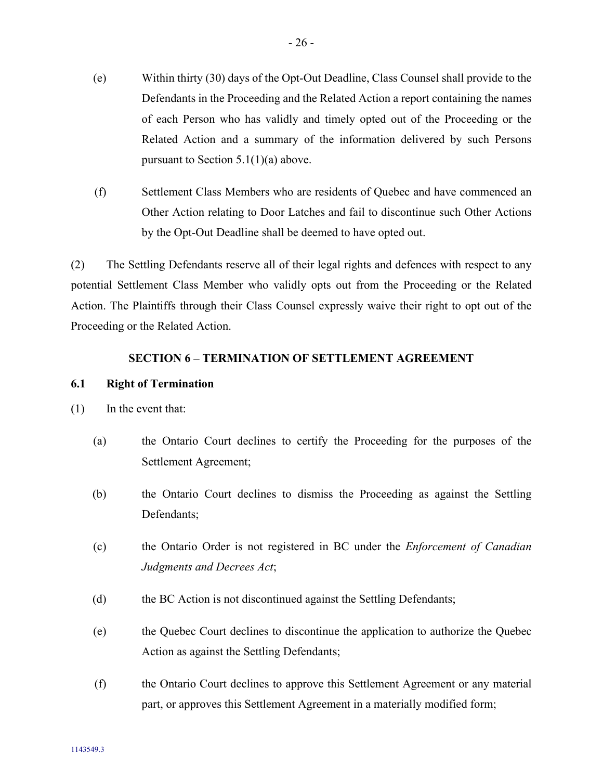- (e) Within thirty (30) days of the Opt-Out Deadline, Class Counsel shall provide to the Defendants in the Proceeding and the Related Action a report containing the names of each Person who has validly and timely opted out of the Proceeding or the Related Action and a summary of the information delivered by such Persons pursuant to Section  $5.1(1)(a)$  above.
- (f) Settlement Class Members who are residents of Quebec and have commenced an Other Action relating to Door Latches and fail to discontinue such Other Actions by the Opt-Out Deadline shall be deemed to have opted out.

(2) The Settling Defendants reserve all of their legal rights and defences with respect to any potential Settlement Class Member who validly opts out from the Proceeding or the Related Action. The Plaintiffs through their Class Counsel expressly waive their right to opt out of the Proceeding or the Related Action.

### <span id="page-29-0"></span>**SECTION 6 – TERMINATION OF SETTLEMENT AGREEMENT**

### <span id="page-29-1"></span>**6.1 Right of Termination**

- <span id="page-29-2"></span>(1) In the event that:
	- (a) the Ontario Court declines to certify the Proceeding for the purposes of the Settlement Agreement;
	- (b) the Ontario Court declines to dismiss the Proceeding as against the Settling Defendants;
	- (c) the Ontario Order is not registered in BC under the *Enforcement of Canadian Judgments and Decrees Act*;
	- (d) the BC Action is not discontinued against the Settling Defendants;
	- (e) the Quebec Court declines to discontinue the application to authorize the Quebec Action as against the Settling Defendants;
	- (f) the Ontario Court declines to approve this Settlement Agreement or any material part, or approves this Settlement Agreement in a materially modified form;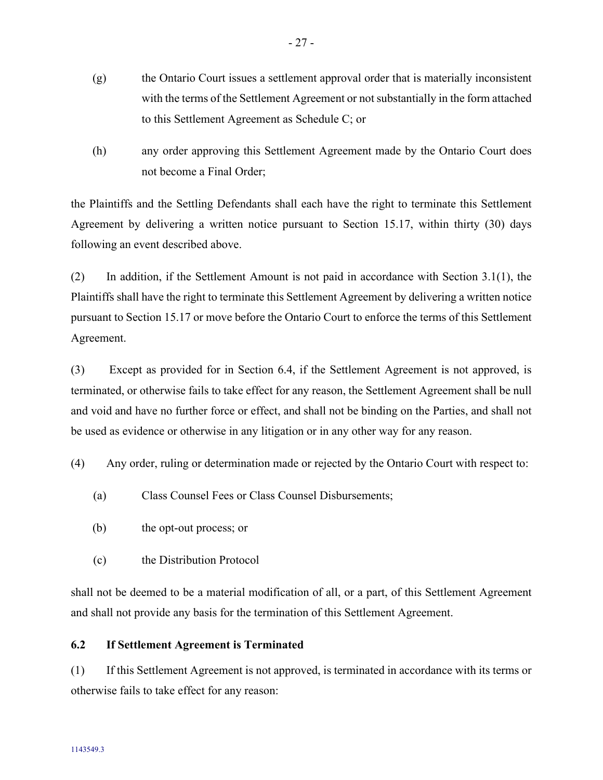- (g) the Ontario Court issues a settlement approval order that is materially inconsistent with the terms of the Settlement Agreement or not substantially in the form attached to this Settlement Agreement as Schedule C; or
- (h) any order approving this Settlement Agreement made by the Ontario Court does not become a Final Order;

the Plaintiffs and the Settling Defendants shall each have the right to terminate this Settlement Agreement by delivering a written notice pursuant to Section [15.17,](#page-48-1) within thirty (30) days following an event described above.

<span id="page-30-1"></span>(2) In addition, if the Settlement Amount is not paid in accordance with Section [3.1\(1\),](#page-14-2) the Plaintiffs shall have the right to terminate this Settlement Agreement by delivering a written notice pursuant to Sectio[n 15.17](#page-48-1) or move before the Ontario Court to enforce the terms of this Settlement Agreement.

(3) Except as provided for in Section [6.4,](#page-32-1) if the Settlement Agreement is not approved, is terminated, or otherwise fails to take effect for any reason, the Settlement Agreement shall be null and void and have no further force or effect, and shall not be binding on the Parties, and shall not be used as evidence or otherwise in any litigation or in any other way for any reason.

(4) Any order, ruling or determination made or rejected by the Ontario Court with respect to:

- (a) Class Counsel Fees or Class Counsel Disbursements;
- (b) the opt-out process; or
- (c) the Distribution Protocol

shall not be deemed to be a material modification of all, or a part, of this Settlement Agreement and shall not provide any basis for the termination of this Settlement Agreement.

# <span id="page-30-0"></span>**6.2 If Settlement Agreement is Terminated**

(1) If this Settlement Agreement is not approved, is terminated in accordance with its terms or otherwise fails to take effect for any reason: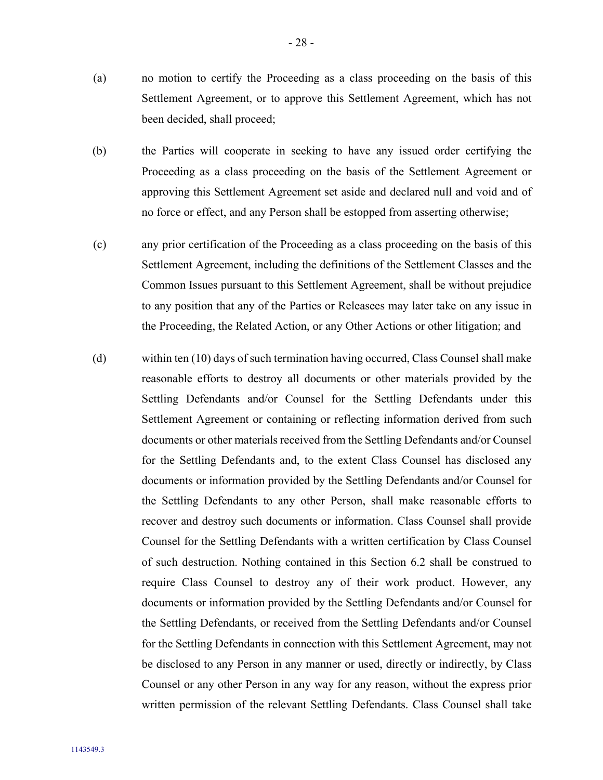- (a) no motion to certify the Proceeding as a class proceeding on the basis of this Settlement Agreement, or to approve this Settlement Agreement, which has not been decided, shall proceed;
- (b) the Parties will cooperate in seeking to have any issued order certifying the Proceeding as a class proceeding on the basis of the Settlement Agreement or approving this Settlement Agreement set aside and declared null and void and of no force or effect, and any Person shall be estopped from asserting otherwise;
- (c) any prior certification of the Proceeding as a class proceeding on the basis of this Settlement Agreement, including the definitions of the Settlement Classes and the Common Issues pursuant to this Settlement Agreement, shall be without prejudice to any position that any of the Parties or Releasees may later take on any issue in the Proceeding, the Related Action, or any Other Actions or other litigation; and
- <span id="page-31-0"></span>(d) within ten (10) days of such termination having occurred, Class Counsel shall make reasonable efforts to destroy all documents or other materials provided by the Settling Defendants and/or Counsel for the Settling Defendants under this Settlement Agreement or containing or reflecting information derived from such documents or other materials received from the Settling Defendants and/or Counsel for the Settling Defendants and, to the extent Class Counsel has disclosed any documents or information provided by the Settling Defendants and/or Counsel for the Settling Defendants to any other Person, shall make reasonable efforts to recover and destroy such documents or information. Class Counsel shall provide Counsel for the Settling Defendants with a written certification by Class Counsel of such destruction. Nothing contained in this Section [6.2](#page-30-0) shall be construed to require Class Counsel to destroy any of their work product. However, any documents or information provided by the Settling Defendants and/or Counsel for the Settling Defendants, or received from the Settling Defendants and/or Counsel for the Settling Defendants in connection with this Settlement Agreement, may not be disclosed to any Person in any manner or used, directly or indirectly, by Class Counsel or any other Person in any way for any reason, without the express prior written permission of the relevant Settling Defendants. Class Counsel shall take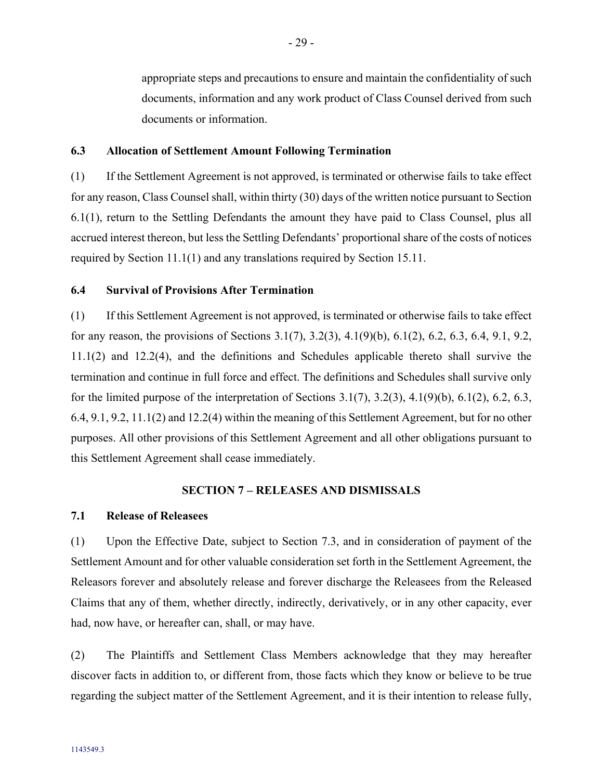appropriate steps and precautions to ensure and maintain the confidentiality of such documents, information and any work product of Class Counsel derived from such documents or information.

#### <span id="page-32-0"></span>**6.3 Allocation of Settlement Amount Following Termination**

(1) If the Settlement Agreement is not approved, is terminated or otherwise fails to take effect for any reason, Class Counsel shall, within thirty (30) days of the written notice pursuant to Section [6.1\(1\),](#page-29-2) return to the Settling Defendants the amount they have paid to Class Counsel, plus all accrued interest thereon, but less the Settling Defendants' proportional share of the costs of notices required by Section [11.1\(1\)](#page-40-5) and any translations required by Section [15.11.](#page-46-4)

#### <span id="page-32-1"></span>**6.4 Survival of Provisions After Termination**

(1) If this Settlement Agreement is not approved, is terminated or otherwise fails to take effect for any reason, the provisions of Sections [3.1\(7\),](#page-14-3) [3.2\(3\),](#page-15-2) [4.1\(9\)\(b\),](#page-21-1) [6.1\(2\),](#page-30-1) [6.2,](#page-30-0) [6.3,](#page-32-0) [6.4,](#page-32-1) [9.1,](#page-38-3) [9.2,](#page-38-4) [11.1\(2\)](#page-40-6) and [12.2\(4\),](#page-41-1) and the definitions and Schedules applicable thereto shall survive the termination and continue in full force and effect. The definitions and Schedules shall survive only for the limited purpose of the interpretation of Sections  $3.1(7)$ ,  $3.2(3)$ ,  $4.1(9)(b)$ ,  $6.1(2)$ ,  $6.2$ ,  $6.3$ , [6.4,](#page-32-1) [9.1,](#page-38-3) [9.2,](#page-38-4) [11.1\(2\)](#page-40-6) an[d 12.2\(4\)](#page-41-1) within the meaning of this Settlement Agreement, but for no other purposes. All other provisions of this Settlement Agreement and all other obligations pursuant to this Settlement Agreement shall cease immediately.

#### <span id="page-32-2"></span>**SECTION 7 – RELEASES AND DISMISSALS**

### <span id="page-32-3"></span>**7.1 Release of Releasees**

(1) Upon the Effective Date, subject to Section [7.3,](#page-33-1) and in consideration of payment of the Settlement Amount and for other valuable consideration set forth in the Settlement Agreement, the Releasors forever and absolutely release and forever discharge the Releasees from the Released Claims that any of them, whether directly, indirectly, derivatively, or in any other capacity, ever had, now have, or hereafter can, shall, or may have.

(2) The Plaintiffs and Settlement Class Members acknowledge that they may hereafter discover facts in addition to, or different from, those facts which they know or believe to be true regarding the subject matter of the Settlement Agreement, and it is their intention to release fully,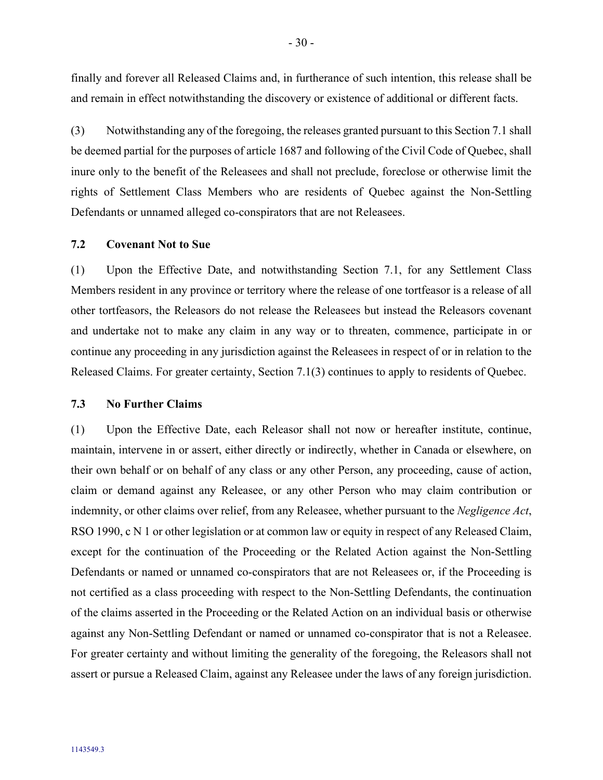finally and forever all Released Claims and, in furtherance of such intention, this release shall be and remain in effect notwithstanding the discovery or existence of additional or different facts.

<span id="page-33-2"></span>(3) Notwithstanding any of the foregoing, the releases granted pursuant to this Section [7.1](#page-32-3) shall be deemed partial for the purposes of article 1687 and following of the Civil Code of Quebec, shall inure only to the benefit of the Releasees and shall not preclude, foreclose or otherwise limit the rights of Settlement Class Members who are residents of Quebec against the Non-Settling Defendants or unnamed alleged co-conspirators that are not Releasees.

### <span id="page-33-0"></span>**7.2 Covenant Not to Sue**

(1) Upon the Effective Date, and notwithstanding Section [7.1,](#page-32-3) for any Settlement Class Members resident in any province or territory where the release of one tortfeasor is a release of all other tortfeasors, the Releasors do not release the Releasees but instead the Releasors covenant and undertake not to make any claim in any way or to threaten, commence, participate in or continue any proceeding in any jurisdiction against the Releasees in respect of or in relation to the Released Claims. For greater certainty, Section [7.1\(3\)](#page-33-2) continues to apply to residents of Quebec.

#### <span id="page-33-1"></span>**7.3 No Further Claims**

(1) Upon the Effective Date, each Releasor shall not now or hereafter institute, continue, maintain, intervene in or assert, either directly or indirectly, whether in Canada or elsewhere, on their own behalf or on behalf of any class or any other Person, any proceeding, cause of action, claim or demand against any Releasee, or any other Person who may claim contribution or indemnity, or other claims over relief, from any Releasee, whether pursuant to the *Negligence Act*, RSO 1990, c N 1 or other legislation or at common law or equity in respect of any Released Claim, except for the continuation of the Proceeding or the Related Action against the Non-Settling Defendants or named or unnamed co-conspirators that are not Releasees or, if the Proceeding is not certified as a class proceeding with respect to the Non-Settling Defendants, the continuation of the claims asserted in the Proceeding or the Related Action on an individual basis or otherwise against any Non-Settling Defendant or named or unnamed co-conspirator that is not a Releasee. For greater certainty and without limiting the generality of the foregoing, the Releasors shall not assert or pursue a Released Claim, against any Releasee under the laws of any foreign jurisdiction.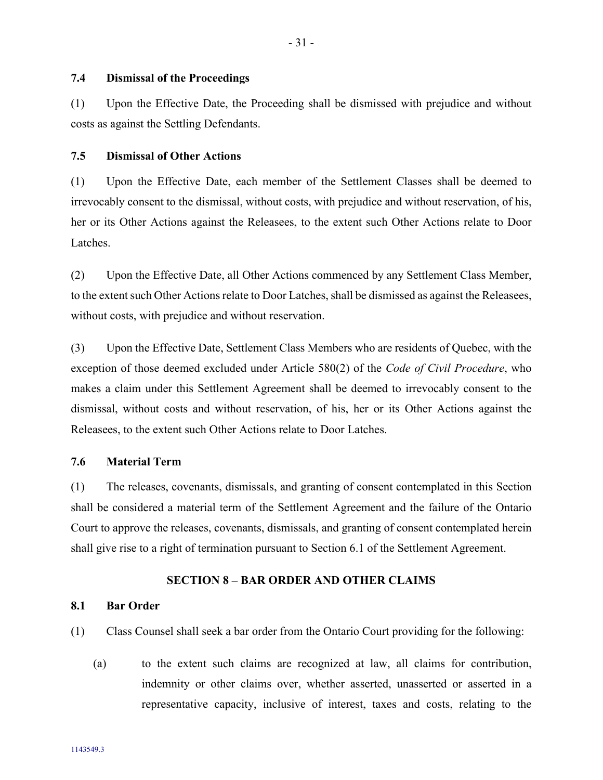### <span id="page-34-0"></span>**7.4 Dismissal of the Proceedings**

(1) Upon the Effective Date, the Proceeding shall be dismissed with prejudice and without costs as against the Settling Defendants.

#### <span id="page-34-1"></span>**7.5 Dismissal of Other Actions**

(1) Upon the Effective Date, each member of the Settlement Classes shall be deemed to irrevocably consent to the dismissal, without costs, with prejudice and without reservation, of his, her or its Other Actions against the Releasees, to the extent such Other Actions relate to Door Latches.

(2) Upon the Effective Date, all Other Actions commenced by any Settlement Class Member, to the extent such Other Actions relate to Door Latches, shall be dismissed as against the Releasees, without costs, with prejudice and without reservation.

(3) Upon the Effective Date, Settlement Class Members who are residents of Quebec, with the exception of those deemed excluded under Article 580(2) of the *Code of Civil Procedure*, who makes a claim under this Settlement Agreement shall be deemed to irrevocably consent to the dismissal, without costs and without reservation, of his, her or its Other Actions against the Releasees, to the extent such Other Actions relate to Door Latches.

### <span id="page-34-2"></span>**7.6 Material Term**

(1) The releases, covenants, dismissals, and granting of consent contemplated in this Section shall be considered a material term of the Settlement Agreement and the failure of the Ontario Court to approve the releases, covenants, dismissals, and granting of consent contemplated herein shall give rise to a right of termination pursuant to Section [6.1](#page-29-1) of the Settlement Agreement.

#### <span id="page-34-3"></span>**SECTION 8 – BAR ORDER AND OTHER CLAIMS**

#### <span id="page-34-4"></span>**8.1 Bar Order**

- <span id="page-34-5"></span>(1) Class Counsel shall seek a bar order from the Ontario Court providing for the following:
	- (a) to the extent such claims are recognized at law, all claims for contribution, indemnity or other claims over, whether asserted, unasserted or asserted in a representative capacity, inclusive of interest, taxes and costs, relating to the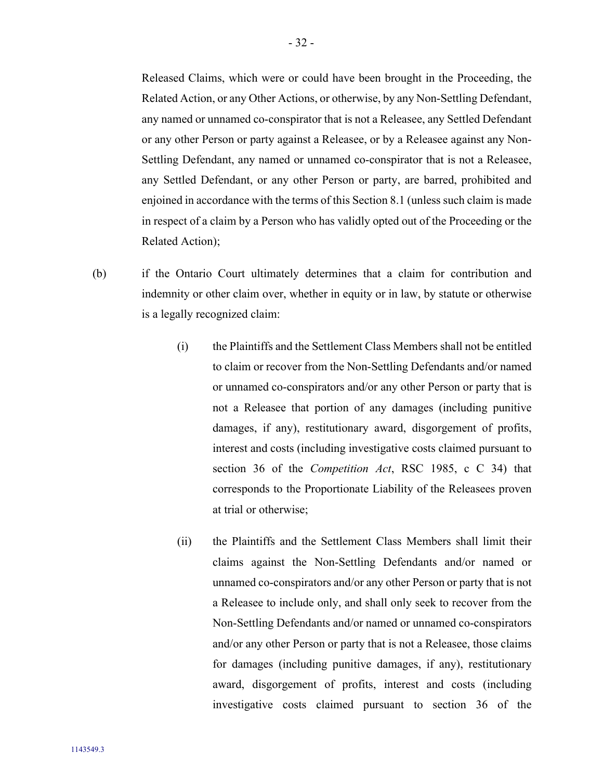Released Claims, which were or could have been brought in the Proceeding, the Related Action, or any Other Actions, or otherwise, by any Non-Settling Defendant, any named or unnamed co-conspirator that is not a Releasee, any Settled Defendant or any other Person or party against a Releasee, or by a Releasee against any Non-Settling Defendant, any named or unnamed co-conspirator that is not a Releasee, any Settled Defendant, or any other Person or party, are barred, prohibited and enjoined in accordance with the terms of this Section [8.1](#page-34-4) (unless such claim is made in respect of a claim by a Person who has validly opted out of the Proceeding or the Related Action);

- (b) if the Ontario Court ultimately determines that a claim for contribution and indemnity or other claim over, whether in equity or in law, by statute or otherwise is a legally recognized claim:
	- (i) the Plaintiffs and the Settlement Class Members shall not be entitled to claim or recover from the Non-Settling Defendants and/or named or unnamed co-conspirators and/or any other Person or party that is not a Releasee that portion of any damages (including punitive damages, if any), restitutionary award, disgorgement of profits, interest and costs (including investigative costs claimed pursuant to section 36 of the *Competition Act*, RSC 1985, c C 34) that corresponds to the Proportionate Liability of the Releasees proven at trial or otherwise;
	- (ii) the Plaintiffs and the Settlement Class Members shall limit their claims against the Non-Settling Defendants and/or named or unnamed co-conspirators and/or any other Person or party that is not a Releasee to include only, and shall only seek to recover from the Non-Settling Defendants and/or named or unnamed co-conspirators and/or any other Person or party that is not a Releasee, those claims for damages (including punitive damages, if any), restitutionary award, disgorgement of profits, interest and costs (including investigative costs claimed pursuant to section 36 of the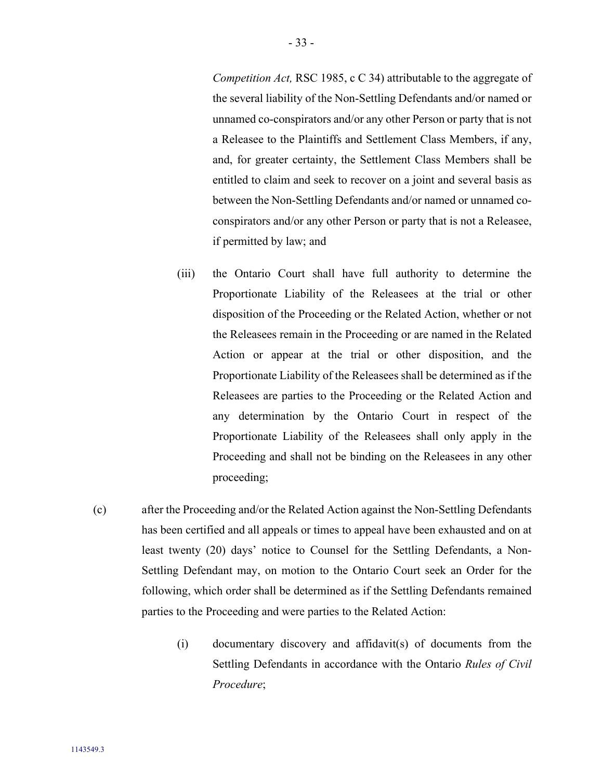*Competition Act,* RSC 1985, c C 34) attributable to the aggregate of the several liability of the Non-Settling Defendants and/or named or unnamed co-conspirators and/or any other Person or party that is not a Releasee to the Plaintiffs and Settlement Class Members, if any, and, for greater certainty, the Settlement Class Members shall be entitled to claim and seek to recover on a joint and several basis as between the Non-Settling Defendants and/or named or unnamed coconspirators and/or any other Person or party that is not a Releasee, if permitted by law; and

- (iii) the Ontario Court shall have full authority to determine the Proportionate Liability of the Releasees at the trial or other disposition of the Proceeding or the Related Action, whether or not the Releasees remain in the Proceeding or are named in the Related Action or appear at the trial or other disposition, and the Proportionate Liability of the Releasees shall be determined as if the Releasees are parties to the Proceeding or the Related Action and any determination by the Ontario Court in respect of the Proportionate Liability of the Releasees shall only apply in the Proceeding and shall not be binding on the Releasees in any other proceeding;
- <span id="page-36-0"></span>(c) after the Proceeding and/or the Related Action against the Non-Settling Defendants has been certified and all appeals or times to appeal have been exhausted and on at least twenty (20) days' notice to Counsel for the Settling Defendants, a Non-Settling Defendant may, on motion to the Ontario Court seek an Order for the following, which order shall be determined as if the Settling Defendants remained parties to the Proceeding and were parties to the Related Action:
	- (i) documentary discovery and affidavit(s) of documents from the Settling Defendants in accordance with the Ontario *Rules of Civil Procedure*;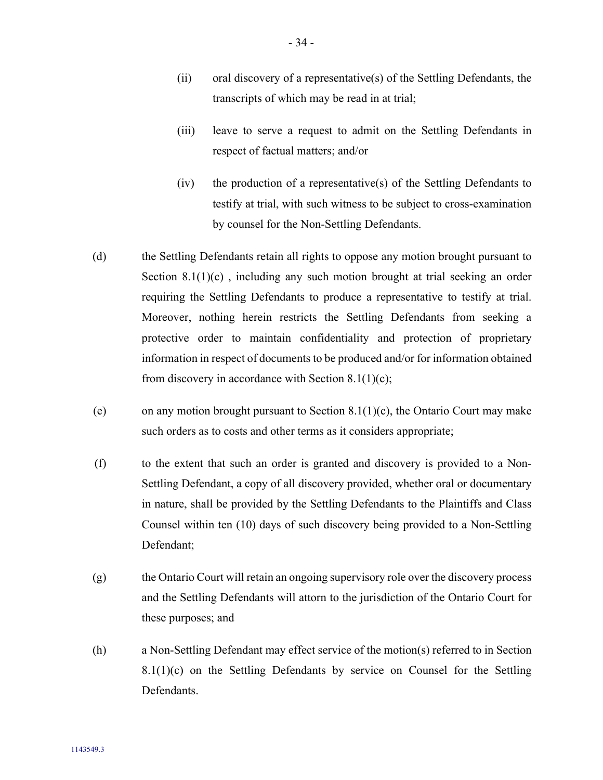- (ii) oral discovery of a representative(s) of the Settling Defendants, the transcripts of which may be read in at trial;
- (iii) leave to serve a request to admit on the Settling Defendants in respect of factual matters; and/or
- (iv) the production of a representative(s) of the Settling Defendants to testify at trial, with such witness to be subject to cross-examination by counsel for the Non-Settling Defendants.
- (d) the Settling Defendants retain all rights to oppose any motion brought pursuant to Section  $8.1(1)(c)$  $8.1(1)(c)$  $8.1(1)(c)$ , including any such motion brought at trial seeking an order requiring the Settling Defendants to produce a representative to testify at trial. Moreover, nothing herein restricts the Settling Defendants from seeking a protective order to maintain confidentiality and protection of proprietary information in respect of documents to be produced and/or for information obtained from discovery in accordance with Section [8.1](#page-34-4)[\(1\)](#page-34-5)[\(c\);](#page-36-0)
- (e) on any motion brought pursuant to Section [8.1](#page-34-4)[\(1\)](#page-34-5)[\(c\),](#page-36-0) the Ontario Court may make such orders as to costs and other terms as it considers appropriate;
- (f) to the extent that such an order is granted and discovery is provided to a Non-Settling Defendant, a copy of all discovery provided, whether oral or documentary in nature, shall be provided by the Settling Defendants to the Plaintiffs and Class Counsel within ten (10) days of such discovery being provided to a Non-Settling Defendant;
- (g) the Ontario Court will retain an ongoing supervisory role over the discovery process and the Settling Defendants will attorn to the jurisdiction of the Ontario Court for these purposes; and
- (h) a Non-Settling Defendant may effect service of the motion(s) referred to in Section  $8.1(1)(c)$  $8.1(1)(c)$  $8.1(1)(c)$  on the Settling Defendants by service on Counsel for the Settling Defendants.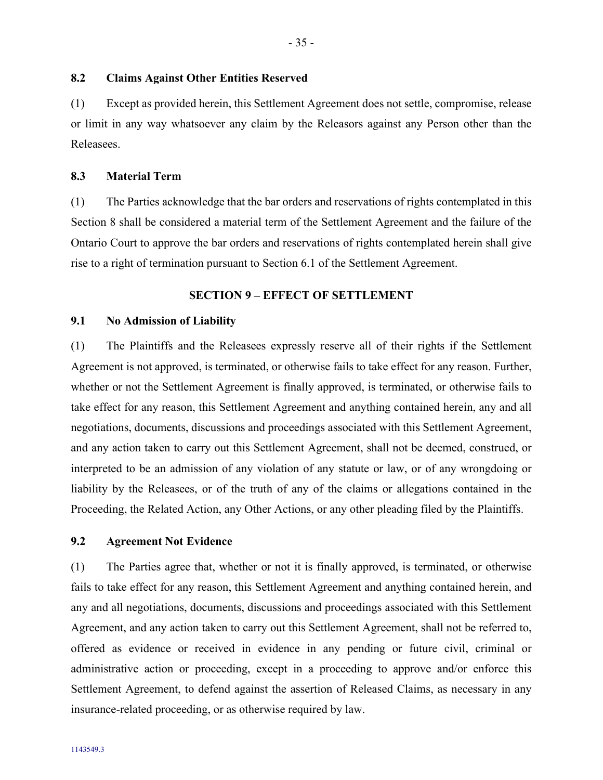### <span id="page-38-0"></span>**8.2 Claims Against Other Entities Reserved**

(1) Except as provided herein, this Settlement Agreement does not settle, compromise, release or limit in any way whatsoever any claim by the Releasors against any Person other than the Releasees.

#### <span id="page-38-1"></span>**8.3 Material Term**

(1) The Parties acknowledge that the bar orders and reservations of rights contemplated in this Section [8](#page-34-3) shall be considered a material term of the Settlement Agreement and the failure of the Ontario Court to approve the bar orders and reservations of rights contemplated herein shall give rise to a right of termination pursuant to Section [6.1](#page-29-1) of the Settlement Agreement.

### <span id="page-38-2"></span>**SECTION 9 – EFFECT OF SETTLEMENT**

#### <span id="page-38-3"></span>**9.1 No Admission of Liability**

(1) The Plaintiffs and the Releasees expressly reserve all of their rights if the Settlement Agreement is not approved, is terminated, or otherwise fails to take effect for any reason. Further, whether or not the Settlement Agreement is finally approved, is terminated, or otherwise fails to take effect for any reason, this Settlement Agreement and anything contained herein, any and all negotiations, documents, discussions and proceedings associated with this Settlement Agreement, and any action taken to carry out this Settlement Agreement, shall not be deemed, construed, or interpreted to be an admission of any violation of any statute or law, or of any wrongdoing or liability by the Releasees, or of the truth of any of the claims or allegations contained in the Proceeding, the Related Action, any Other Actions, or any other pleading filed by the Plaintiffs.

#### <span id="page-38-4"></span>**9.2 Agreement Not Evidence**

(1) The Parties agree that, whether or not it is finally approved, is terminated, or otherwise fails to take effect for any reason, this Settlement Agreement and anything contained herein, and any and all negotiations, documents, discussions and proceedings associated with this Settlement Agreement, and any action taken to carry out this Settlement Agreement, shall not be referred to, offered as evidence or received in evidence in any pending or future civil, criminal or administrative action or proceeding, except in a proceeding to approve and/or enforce this Settlement Agreement, to defend against the assertion of Released Claims, as necessary in any insurance-related proceeding, or as otherwise required by law.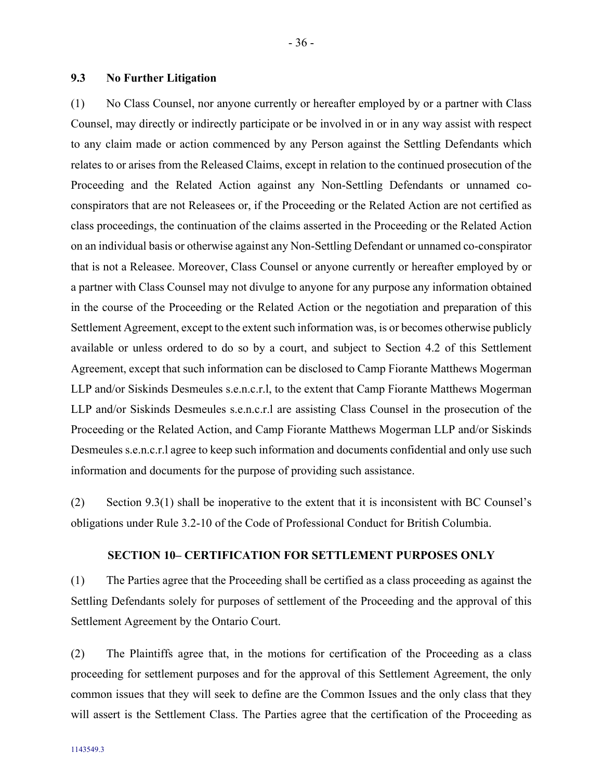### <span id="page-39-0"></span>**9.3 No Further Litigation**

<span id="page-39-2"></span>(1) No Class Counsel, nor anyone currently or hereafter employed by or a partner with Class Counsel, may directly or indirectly participate or be involved in or in any way assist with respect to any claim made or action commenced by any Person against the Settling Defendants which relates to or arises from the Released Claims, except in relation to the continued prosecution of the Proceeding and the Related Action against any Non-Settling Defendants or unnamed coconspirators that are not Releasees or, if the Proceeding or the Related Action are not certified as class proceedings, the continuation of the claims asserted in the Proceeding or the Related Action on an individual basis or otherwise against any Non-Settling Defendant or unnamed co-conspirator that is not a Releasee. Moreover, Class Counsel or anyone currently or hereafter employed by or a partner with Class Counsel may not divulge to anyone for any purpose any information obtained in the course of the Proceeding or the Related Action or the negotiation and preparation of this Settlement Agreement, except to the extent such information was, is or becomes otherwise publicly available or unless ordered to do so by a court, and subject to Section [4.2](#page-25-0) of this Settlement Agreement, except that such information can be disclosed to Camp Fiorante Matthews Mogerman LLP and/or Siskinds Desmeules s.e.n.c.r.l, to the extent that Camp Fiorante Matthews Mogerman LLP and/or Siskinds Desmeules s.e.n.c.r.l are assisting Class Counsel in the prosecution of the Proceeding or the Related Action, and Camp Fiorante Matthews Mogerman LLP and/or Siskinds Desmeules s.e.n.c.r.l agree to keep such information and documents confidential and only use such information and documents for the purpose of providing such assistance.

(2) Section [9.3\(1\)](#page-39-2) shall be inoperative to the extent that it is inconsistent with BC Counsel's obligations under Rule 3.2-10 of the Code of Professional Conduct for British Columbia.

### **SECTION 10– CERTIFICATION FOR SETTLEMENT PURPOSES ONLY**

<span id="page-39-1"></span>(1) The Parties agree that the Proceeding shall be certified as a class proceeding as against the Settling Defendants solely for purposes of settlement of the Proceeding and the approval of this Settlement Agreement by the Ontario Court.

(2) The Plaintiffs agree that, in the motions for certification of the Proceeding as a class proceeding for settlement purposes and for the approval of this Settlement Agreement, the only common issues that they will seek to define are the Common Issues and the only class that they will assert is the Settlement Class. The Parties agree that the certification of the Proceeding as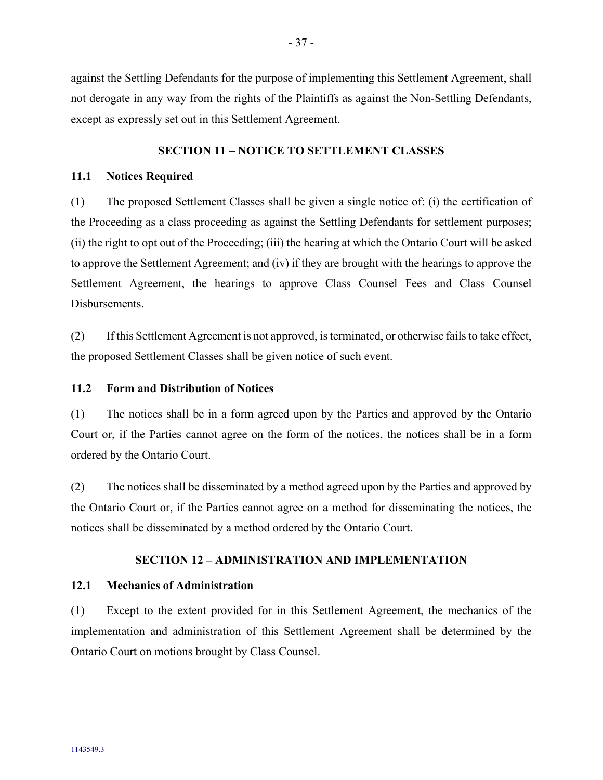against the Settling Defendants for the purpose of implementing this Settlement Agreement, shall not derogate in any way from the rights of the Plaintiffs as against the Non-Settling Defendants, except as expressly set out in this Settlement Agreement.

### <span id="page-40-0"></span>**SECTION 11 – NOTICE TO SETTLEMENT CLASSES**

### <span id="page-40-7"></span><span id="page-40-1"></span>**11.1 Notices Required**

<span id="page-40-5"></span>(1) The proposed Settlement Classes shall be given a single notice of: (i) the certification of the Proceeding as a class proceeding as against the Settling Defendants for settlement purposes; (ii) the right to opt out of the Proceeding; (iii) the hearing at which the Ontario Court will be asked to approve the Settlement Agreement; and (iv) if they are brought with the hearings to approve the Settlement Agreement, the hearings to approve Class Counsel Fees and Class Counsel Disbursements.

<span id="page-40-6"></span>(2) If this Settlement Agreement is not approved, is terminated, or otherwise fails to take effect, the proposed Settlement Classes shall be given notice of such event.

### <span id="page-40-2"></span>**11.2 Form and Distribution of Notices**

(1) The notices shall be in a form agreed upon by the Parties and approved by the Ontario Court or, if the Parties cannot agree on the form of the notices, the notices shall be in a form ordered by the Ontario Court.

(2) The notices shall be disseminated by a method agreed upon by the Parties and approved by the Ontario Court or, if the Parties cannot agree on a method for disseminating the notices, the notices shall be disseminated by a method ordered by the Ontario Court.

### <span id="page-40-3"></span>**SECTION 12 – ADMINISTRATION AND IMPLEMENTATION**

#### <span id="page-40-4"></span>**12.1 Mechanics of Administration**

(1) Except to the extent provided for in this Settlement Agreement, the mechanics of the implementation and administration of this Settlement Agreement shall be determined by the Ontario Court on motions brought by Class Counsel.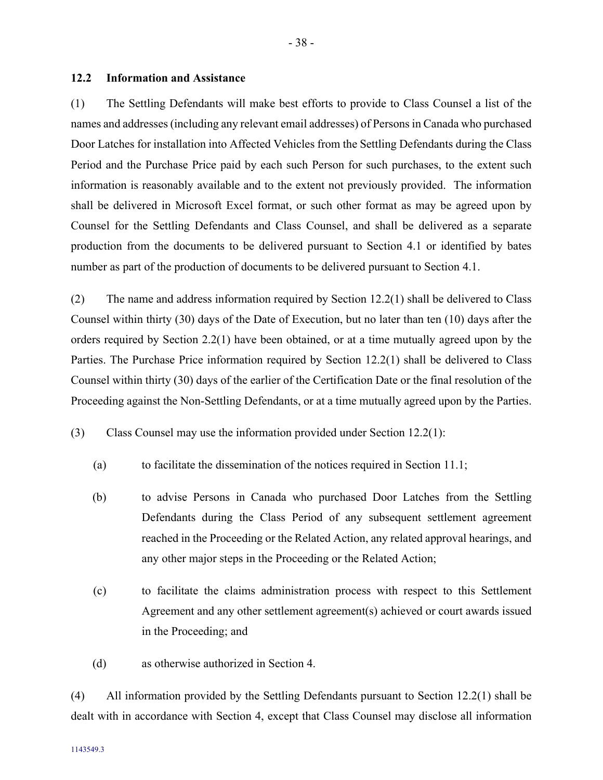### <span id="page-41-0"></span>**12.2 Information and Assistance**

<span id="page-41-2"></span>(1) The Settling Defendants will make best efforts to provide to Class Counsel a list of the names and addresses (including any relevant email addresses) of Persons in Canada who purchased Door Latches for installation into Affected Vehicles from the Settling Defendants during the Class Period and the Purchase Price paid by each such Person for such purchases, to the extent such information is reasonably available and to the extent not previously provided. The information shall be delivered in Microsoft Excel format, or such other format as may be agreed upon by Counsel for the Settling Defendants and Class Counsel, and shall be delivered as a separate production from the documents to be delivered pursuant to Section [4.1](#page-16-1) or identified by bates number as part of the production of documents to be delivered pursuant to Section [4.1.](#page-16-1)

(2) The name and address information required by Section [12.2](#page-41-0)[\(1\)](#page-41-2) shall be delivered to Class Counsel within thirty (30) days of the Date of Execution, but no later than ten (10) days after the orders required by Section [2.2\(1\)](#page-12-4) have been obtained, or at a time mutually agreed upon by the Parties. The Purchase Price information required by Section [12.2](#page-41-0)[\(1\)](#page-41-2) shall be delivered to Class Counsel within thirty (30) days of the earlier of the Certification Date or the final resolution of the Proceeding against the Non-Settling Defendants, or at a time mutually agreed upon by the Parties.

<span id="page-41-3"></span>(3) Class Counsel may use the information provided under Section [12.2\(1\):](#page-41-2)

- (a) to facilitate the dissemination of the notices required in Section [11.1;](#page-40-1)
- (b) to advise Persons in Canada who purchased Door Latches from the Settling Defendants during the Class Period of any subsequent settlement agreement reached in the Proceeding or the Related Action, any related approval hearings, and any other major steps in the Proceeding or the Related Action;
- (c) to facilitate the claims administration process with respect to this Settlement Agreement and any other settlement agreement(s) achieved or court awards issued in the Proceeding; and
- (d) as otherwise authorized in Section [4.](#page-16-0)

<span id="page-41-1"></span>(4) All information provided by the Settling Defendants pursuant to Section [12.2\(1\)](#page-41-2) shall be dealt with in accordance with Section [4,](#page-16-0) except that Class Counsel may disclose all information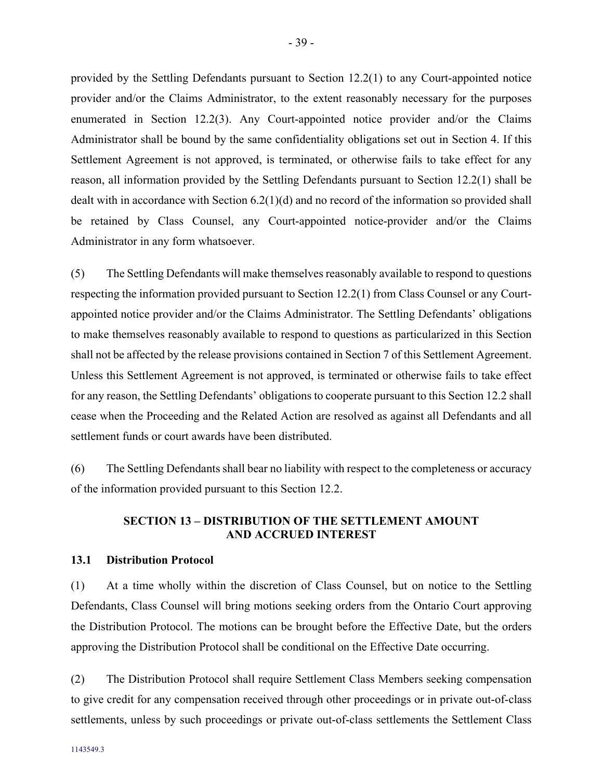provided by the Settling Defendants pursuant to Section [12.2\(1\)](#page-41-2) to any Court-appointed notice provider and/or the Claims Administrator, to the extent reasonably necessary for the purposes enumerated in Section [12.2](#page-41-0)[\(3\).](#page-41-3) Any Court-appointed notice provider and/or the Claims Administrator shall be bound by the same confidentiality obligations set out in Section [4.](#page-16-0) If this Settlement Agreement is not approved, is terminated, or otherwise fails to take effect for any reason, all information provided by the Settling Defendants pursuant to Section [12.2\(1\)](#page-41-2) shall be dealt with in accordance with Section [6.2\(1\)\(d\)](#page-31-0) and no record of the information so provided shall be retained by Class Counsel, any Court-appointed notice-provider and/or the Claims Administrator in any form whatsoever.

(5) The Settling Defendants will make themselves reasonably available to respond to questions respecting the information provided pursuant to Section [12.2\(1\)](#page-41-2) from Class Counsel or any Courtappointed notice provider and/or the Claims Administrator. The Settling Defendants' obligations to make themselves reasonably available to respond to questions as particularized in this Section shall not be affected by the release provisions contained in Section [7](#page-32-2) of this Settlement Agreement. Unless this Settlement Agreement is not approved, is terminated or otherwise fails to take effect for any reason, the Settling Defendants' obligations to cooperate pursuant to this Section [12.2](#page-41-0) shall cease when the Proceeding and the Related Action are resolved as against all Defendants and all settlement funds or court awards have been distributed.

(6) The Settling Defendants shall bear no liability with respect to the completeness or accuracy of the information provided pursuant to this Section [12.2.](#page-41-0)

### <span id="page-42-0"></span>**SECTION 13 – DISTRIBUTION OF THE SETTLEMENT AMOUNT AND ACCRUED INTEREST**

#### <span id="page-42-1"></span>**13.1 Distribution Protocol**

(1) At a time wholly within the discretion of Class Counsel, but on notice to the Settling Defendants, Class Counsel will bring motions seeking orders from the Ontario Court approving the Distribution Protocol. The motions can be brought before the Effective Date, but the orders approving the Distribution Protocol shall be conditional on the Effective Date occurring.

(2) The Distribution Protocol shall require Settlement Class Members seeking compensation to give credit for any compensation received through other proceedings or in private out-of-class settlements, unless by such proceedings or private out-of-class settlements the Settlement Class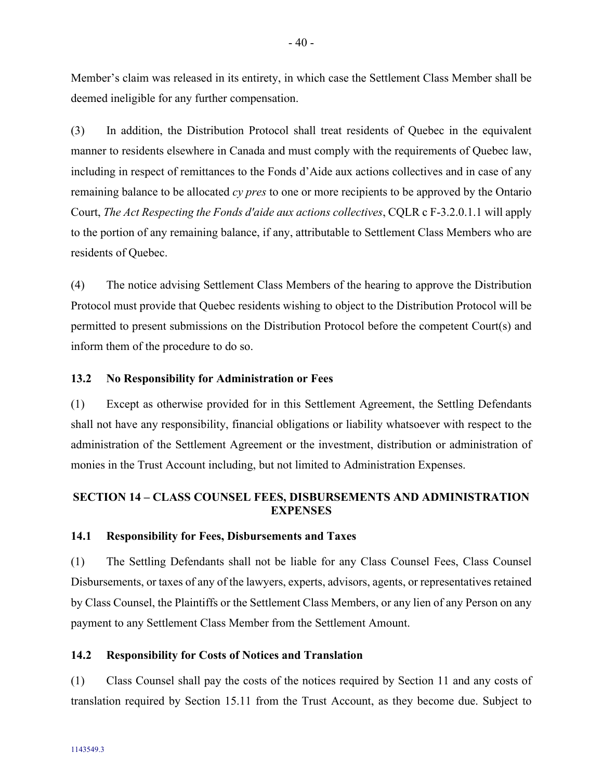Member's claim was released in its entirety, in which case the Settlement Class Member shall be deemed ineligible for any further compensation.

(3) In addition, the Distribution Protocol shall treat residents of Quebec in the equivalent manner to residents elsewhere in Canada and must comply with the requirements of Quebec law, including in respect of remittances to the Fonds d'Aide aux actions collectives and in case of any remaining balance to be allocated *cy pres* to one or more recipients to be approved by the Ontario Court, *The Act Respecting the Fonds d'aide aux actions collectives*, CQLR c F-3.2.0.1.1 will apply to the portion of any remaining balance, if any, attributable to Settlement Class Members who are residents of Quebec.

(4) The notice advising Settlement Class Members of the hearing to approve the Distribution Protocol must provide that Quebec residents wishing to object to the Distribution Protocol will be permitted to present submissions on the Distribution Protocol before the competent Court(s) and inform them of the procedure to do so.

### <span id="page-43-0"></span>**13.2 No Responsibility for Administration or Fees**

(1) Except as otherwise provided for in this Settlement Agreement, the Settling Defendants shall not have any responsibility, financial obligations or liability whatsoever with respect to the administration of the Settlement Agreement or the investment, distribution or administration of monies in the Trust Account including, but not limited to Administration Expenses.

### <span id="page-43-1"></span>**SECTION 14 – CLASS COUNSEL FEES, DISBURSEMENTS AND ADMINISTRATION EXPENSES**

#### <span id="page-43-2"></span>**14.1 Responsibility for Fees, Disbursements and Taxes**

(1) The Settling Defendants shall not be liable for any Class Counsel Fees, Class Counsel Disbursements, or taxes of any of the lawyers, experts, advisors, agents, or representatives retained by Class Counsel, the Plaintiffs or the Settlement Class Members, or any lien of any Person on any payment to any Settlement Class Member from the Settlement Amount.

### <span id="page-43-3"></span>**14.2 Responsibility for Costs of Notices and Translation**

(1) Class Counsel shall pay the costs of the notices required by Section [11](#page-40-7) and any costs of translation required by Section [15.11](#page-46-4) from the Trust Account, as they become due. Subject to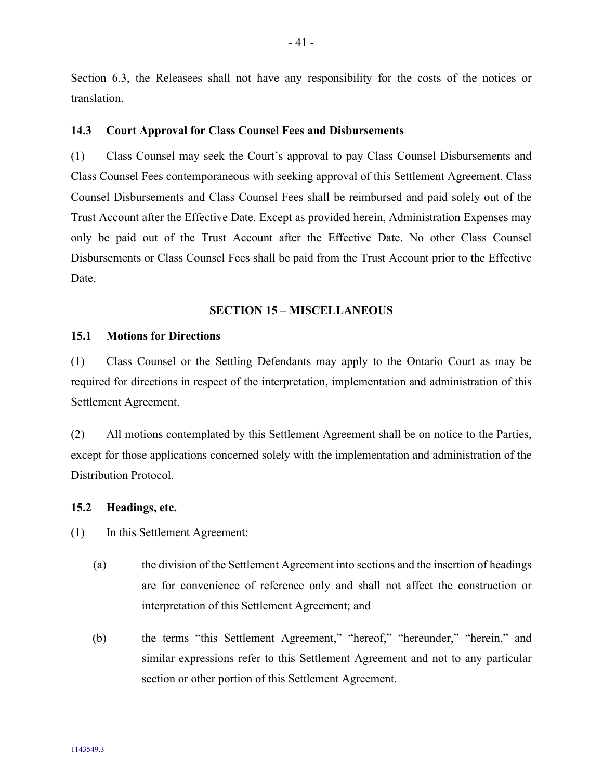Section [6.3,](#page-32-0) the Releasees shall not have any responsibility for the costs of the notices or translation.

### <span id="page-44-0"></span>**14.3 Court Approval for Class Counsel Fees and Disbursements**

(1) Class Counsel may seek the Court's approval to pay Class Counsel Disbursements and Class Counsel Fees contemporaneous with seeking approval of this Settlement Agreement. Class Counsel Disbursements and Class Counsel Fees shall be reimbursed and paid solely out of the Trust Account after the Effective Date. Except as provided herein, Administration Expenses may only be paid out of the Trust Account after the Effective Date. No other Class Counsel Disbursements or Class Counsel Fees shall be paid from the Trust Account prior to the Effective Date.

#### <span id="page-44-1"></span>**SECTION 15 – MISCELLANEOUS**

#### <span id="page-44-2"></span>**15.1 Motions for Directions**

(1) Class Counsel or the Settling Defendants may apply to the Ontario Court as may be required for directions in respect of the interpretation, implementation and administration of this Settlement Agreement.

(2) All motions contemplated by this Settlement Agreement shall be on notice to the Parties, except for those applications concerned solely with the implementation and administration of the Distribution Protocol.

#### <span id="page-44-3"></span>**15.2 Headings, etc.**

(1) In this Settlement Agreement:

- (a) the division of the Settlement Agreement into sections and the insertion of headings are for convenience of reference only and shall not affect the construction or interpretation of this Settlement Agreement; and
- (b) the terms "this Settlement Agreement," "hereof," "hereunder," "herein," and similar expressions refer to this Settlement Agreement and not to any particular section or other portion of this Settlement Agreement.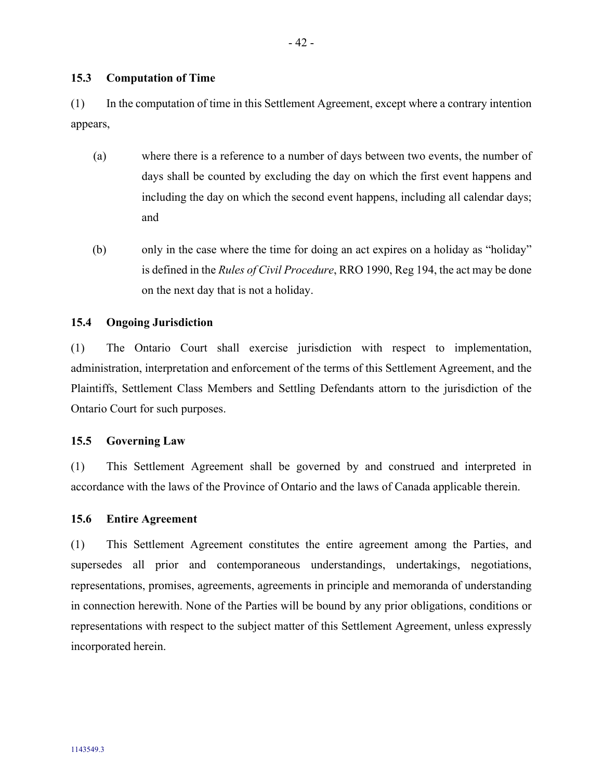# <span id="page-45-0"></span>**15.3 Computation of Time**

(1) In the computation of time in this Settlement Agreement, except where a contrary intention appears,

- (a) where there is a reference to a number of days between two events, the number of days shall be counted by excluding the day on which the first event happens and including the day on which the second event happens, including all calendar days; and
- (b) only in the case where the time for doing an act expires on a holiday as "holiday" is defined in the *Rules of Civil Procedure*, RRO 1990, Reg 194, the act may be done on the next day that is not a holiday.

### <span id="page-45-1"></span>**15.4 Ongoing Jurisdiction**

(1) The Ontario Court shall exercise jurisdiction with respect to implementation, administration, interpretation and enforcement of the terms of this Settlement Agreement, and the Plaintiffs, Settlement Class Members and Settling Defendants attorn to the jurisdiction of the Ontario Court for such purposes.

### <span id="page-45-2"></span>**15.5 Governing Law**

(1) This Settlement Agreement shall be governed by and construed and interpreted in accordance with the laws of the Province of Ontario and the laws of Canada applicable therein.

### <span id="page-45-3"></span>**15.6 Entire Agreement**

(1) This Settlement Agreement constitutes the entire agreement among the Parties, and supersedes all prior and contemporaneous understandings, undertakings, negotiations, representations, promises, agreements, agreements in principle and memoranda of understanding in connection herewith. None of the Parties will be bound by any prior obligations, conditions or representations with respect to the subject matter of this Settlement Agreement, unless expressly incorporated herein.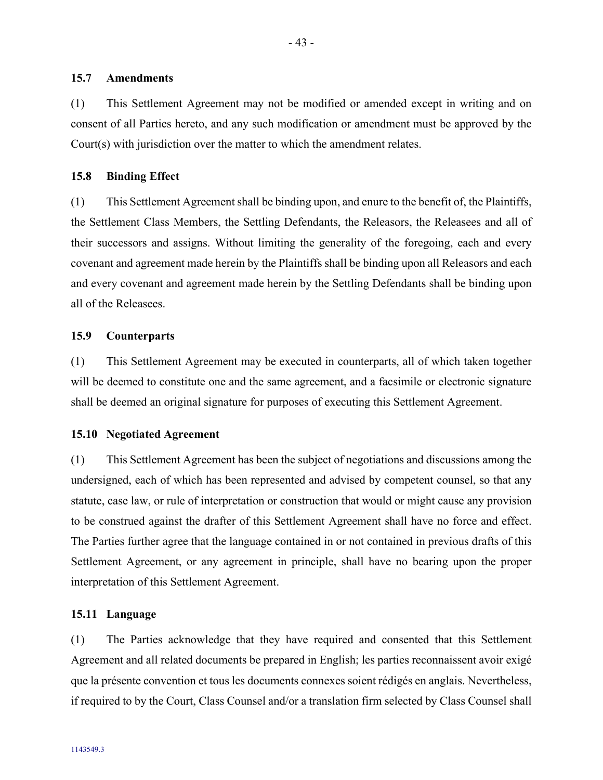#### <span id="page-46-0"></span>**15.7 Amendments**

(1) This Settlement Agreement may not be modified or amended except in writing and on consent of all Parties hereto, and any such modification or amendment must be approved by the Court(s) with jurisdiction over the matter to which the amendment relates.

#### <span id="page-46-1"></span>**15.8 Binding Effect**

(1) This Settlement Agreement shall be binding upon, and enure to the benefit of, the Plaintiffs, the Settlement Class Members, the Settling Defendants, the Releasors, the Releasees and all of their successors and assigns. Without limiting the generality of the foregoing, each and every covenant and agreement made herein by the Plaintiffs shall be binding upon all Releasors and each and every covenant and agreement made herein by the Settling Defendants shall be binding upon all of the Releasees.

#### <span id="page-46-2"></span>**15.9 Counterparts**

(1) This Settlement Agreement may be executed in counterparts, all of which taken together will be deemed to constitute one and the same agreement, and a facsimile or electronic signature shall be deemed an original signature for purposes of executing this Settlement Agreement.

#### <span id="page-46-3"></span>**15.10 Negotiated Agreement**

(1) This Settlement Agreement has been the subject of negotiations and discussions among the undersigned, each of which has been represented and advised by competent counsel, so that any statute, case law, or rule of interpretation or construction that would or might cause any provision to be construed against the drafter of this Settlement Agreement shall have no force and effect. The Parties further agree that the language contained in or not contained in previous drafts of this Settlement Agreement, or any agreement in principle, shall have no bearing upon the proper interpretation of this Settlement Agreement.

#### <span id="page-46-4"></span>**15.11 Language**

(1) The Parties acknowledge that they have required and consented that this Settlement Agreement and all related documents be prepared in English; les parties reconnaissent avoir exigé que la présente convention et tous les documents connexes soient rédigés en anglais. Nevertheless, if required to by the Court, Class Counsel and/or a translation firm selected by Class Counsel shall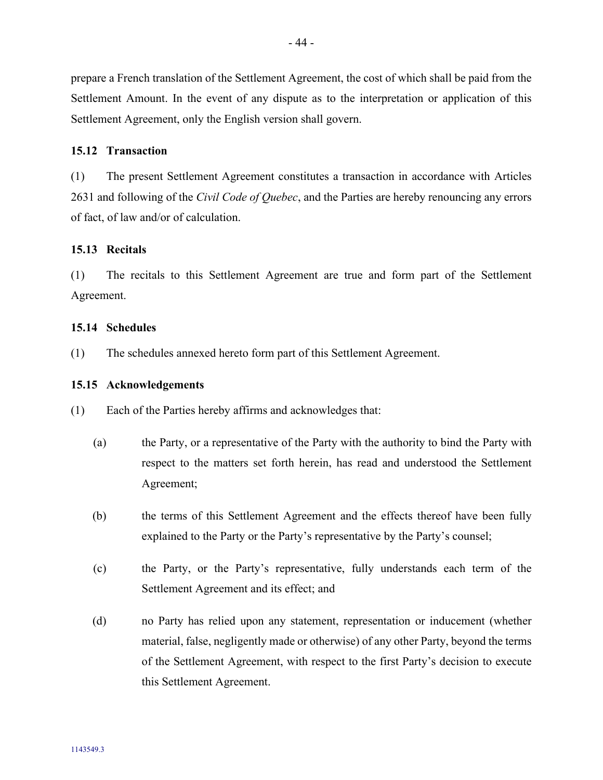prepare a French translation of the Settlement Agreement, the cost of which shall be paid from the Settlement Amount. In the event of any dispute as to the interpretation or application of this Settlement Agreement, only the English version shall govern.

#### <span id="page-47-0"></span>**15.12 Transaction**

(1) The present Settlement Agreement constitutes a transaction in accordance with Articles 2631 and following of the *Civil Code of Quebec*, and the Parties are hereby renouncing any errors of fact, of law and/or of calculation.

#### <span id="page-47-1"></span>**15.13 Recitals**

(1) The recitals to this Settlement Agreement are true and form part of the Settlement Agreement.

#### <span id="page-47-2"></span>**15.14 Schedules**

(1) The schedules annexed hereto form part of this Settlement Agreement.

#### <span id="page-47-3"></span>**15.15 Acknowledgements**

(1) Each of the Parties hereby affirms and acknowledges that:

- (a) the Party, or a representative of the Party with the authority to bind the Party with respect to the matters set forth herein, has read and understood the Settlement Agreement;
- (b) the terms of this Settlement Agreement and the effects thereof have been fully explained to the Party or the Party's representative by the Party's counsel;
- (c) the Party, or the Party's representative, fully understands each term of the Settlement Agreement and its effect; and
- (d) no Party has relied upon any statement, representation or inducement (whether material, false, negligently made or otherwise) of any other Party, beyond the terms of the Settlement Agreement, with respect to the first Party's decision to execute this Settlement Agreement.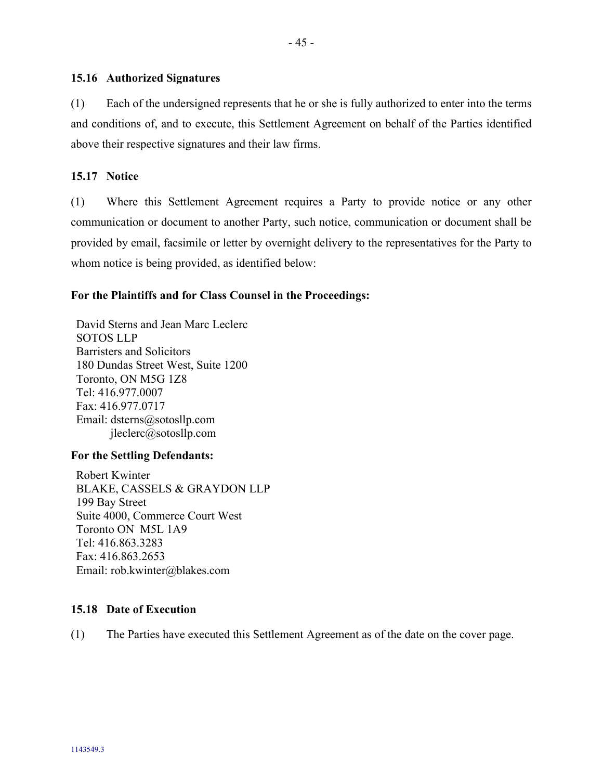### <span id="page-48-0"></span>**15.16 Authorized Signatures**

(1) Each of the undersigned represents that he or she is fully authorized to enter into the terms and conditions of, and to execute, this Settlement Agreement on behalf of the Parties identified above their respective signatures and their law firms.

### <span id="page-48-1"></span>**15.17 Notice**

(1) Where this Settlement Agreement requires a Party to provide notice or any other communication or document to another Party, such notice, communication or document shall be provided by email, facsimile or letter by overnight delivery to the representatives for the Party to whom notice is being provided, as identified below:

### **For the Plaintiffs and for Class Counsel in the Proceedings:**

David Sterns and Jean Marc Leclerc SOTOS LLP Barristers and Solicitors 180 Dundas Street West, Suite 1200 Toronto, ON M5G 1Z8 Tel: 416.977.0007 Fax: 416.977.0717 Email: dsterns@sotosllp.com jleclerc@sotosllp.com

### **For the Settling Defendants:**

Robert Kwinter BLAKE, CASSELS & GRAYDON LLP 199 Bay Street Suite 4000, Commerce Court West Toronto ON M5L 1A9 Tel: 416.863.3283 Fax: 416.863.2653 Email: rob.kwinter@blakes.com

### <span id="page-48-2"></span>**15.18 Date of Execution**

(1) The Parties have executed this Settlement Agreement as of the date on the cover page.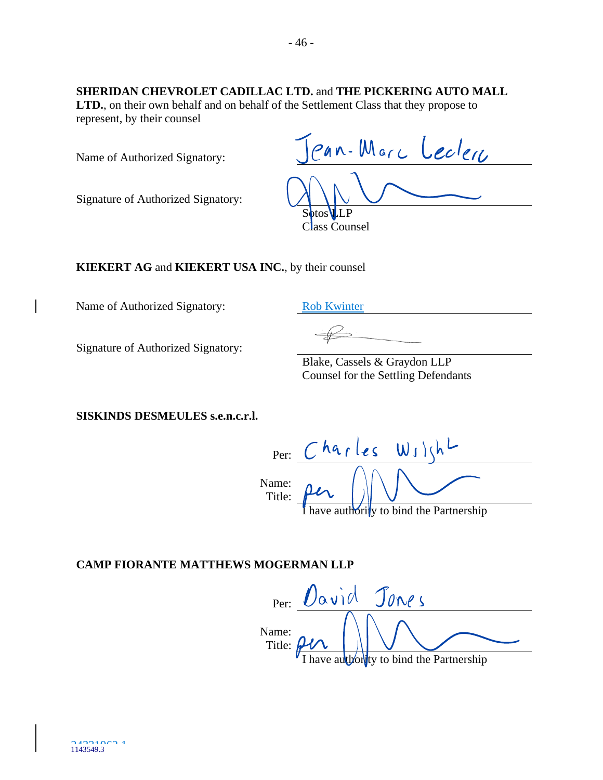# **SHERIDAN CHEVROLET CADILLAC LTD.** and **THE PICKERING AUTO MALL**

**LTD.**, on their own behalf and on behalf of the Settlement Class that they propose to represent, by their counsel

Name of Authorized Signatory:

Signature of Authorized Signatory:

| Pan-Marc Leclerc           |
|----------------------------|
|                            |
| Sotos LLP<br>Class Counsel |

**KIEKERT AG** and **KIEKERT USA INC.**, by their counsel

Name of Authorized Signatory: Rob Kwinter

 $\mathbf{I}$ 

Signature of Authorized Signatory:

Blake, Cassels & Graydon LLP Counsel for the Settling Defendants

**SISKINDS DESMEULES s.e.n.c.r.l.** 

Per: Name: Title: ave authority to bind the Partnership

# **CAMP FIORANTE MATTHEWS MOGERMAN LLP**

Per: Vavid Jones Name:  $\overline{\phantom{a}}$ Title: have authority to bind the Partnership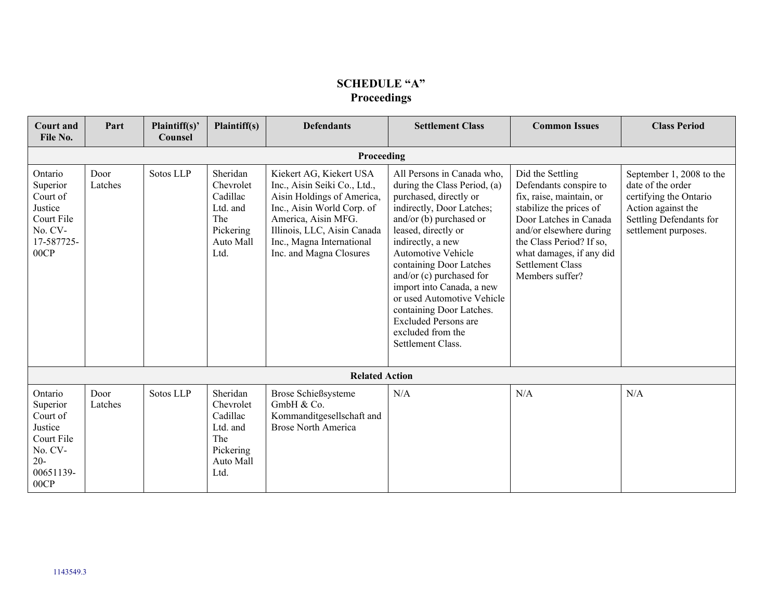# **SCHEDULE "A" Proceedings**

| <b>Court and</b><br>File No.                                                                       | Part                  | Plaintiff(s)'<br>Counsel | Plaintiff(s)                                                                           | <b>Defendants</b>                                                                                                                                                                                                                 | <b>Settlement Class</b>                                                                                                                                                                                                                                                                                                                                                                                                               | <b>Common Issues</b>                                                                                                                                                                                                                                         | <b>Class Period</b>                                                                                                                              |
|----------------------------------------------------------------------------------------------------|-----------------------|--------------------------|----------------------------------------------------------------------------------------|-----------------------------------------------------------------------------------------------------------------------------------------------------------------------------------------------------------------------------------|---------------------------------------------------------------------------------------------------------------------------------------------------------------------------------------------------------------------------------------------------------------------------------------------------------------------------------------------------------------------------------------------------------------------------------------|--------------------------------------------------------------------------------------------------------------------------------------------------------------------------------------------------------------------------------------------------------------|--------------------------------------------------------------------------------------------------------------------------------------------------|
|                                                                                                    | Proceeding            |                          |                                                                                        |                                                                                                                                                                                                                                   |                                                                                                                                                                                                                                                                                                                                                                                                                                       |                                                                                                                                                                                                                                                              |                                                                                                                                                  |
| Ontario<br>Superior<br>Court of<br>Justice<br>Court File<br>No. CV-<br>17-587725-<br>00CP          | Door<br>Latches       | Sotos LLP                | Sheridan<br>Chevrolet<br>Cadillac<br>Ltd. and<br>The<br>Pickering<br>Auto Mall<br>Ltd. | Kiekert AG, Kiekert USA<br>Inc., Aisin Seiki Co., Ltd.,<br>Aisin Holdings of America,<br>Inc., Aisin World Corp. of<br>America, Aisin MFG.<br>Illinois, LLC, Aisin Canada<br>Inc., Magna International<br>Inc. and Magna Closures | All Persons in Canada who,<br>during the Class Period, (a)<br>purchased, directly or<br>indirectly, Door Latches;<br>and/or (b) purchased or<br>leased, directly or<br>indirectly, a new<br>Automotive Vehicle<br>containing Door Latches<br>and/or (c) purchased for<br>import into Canada, a new<br>or used Automotive Vehicle<br>containing Door Latches.<br><b>Excluded Persons are</b><br>excluded from the<br>Settlement Class. | Did the Settling<br>Defendants conspire to<br>fix, raise, maintain, or<br>stabilize the prices of<br>Door Latches in Canada<br>and/or elsewhere during<br>the Class Period? If so,<br>what damages, if any did<br><b>Settlement Class</b><br>Members suffer? | September 1, 2008 to the<br>date of the order<br>certifying the Ontario<br>Action against the<br>Settling Defendants for<br>settlement purposes. |
|                                                                                                    | <b>Related Action</b> |                          |                                                                                        |                                                                                                                                                                                                                                   |                                                                                                                                                                                                                                                                                                                                                                                                                                       |                                                                                                                                                                                                                                                              |                                                                                                                                                  |
| Ontario<br>Superior<br>Court of<br>Justice<br>Court File<br>No. CV-<br>$20 -$<br>00651139-<br>00CP | Door<br>Latches       | Sotos LLP                | Sheridan<br>Chevrolet<br>Cadillac<br>Ltd. and<br>The<br>Pickering<br>Auto Mall<br>Ltd. | Brose Schießsysteme<br>GmbH & Co.<br>Kommanditgesellschaft and<br><b>Brose North America</b>                                                                                                                                      | N/A                                                                                                                                                                                                                                                                                                                                                                                                                                   | N/A                                                                                                                                                                                                                                                          | N/A                                                                                                                                              |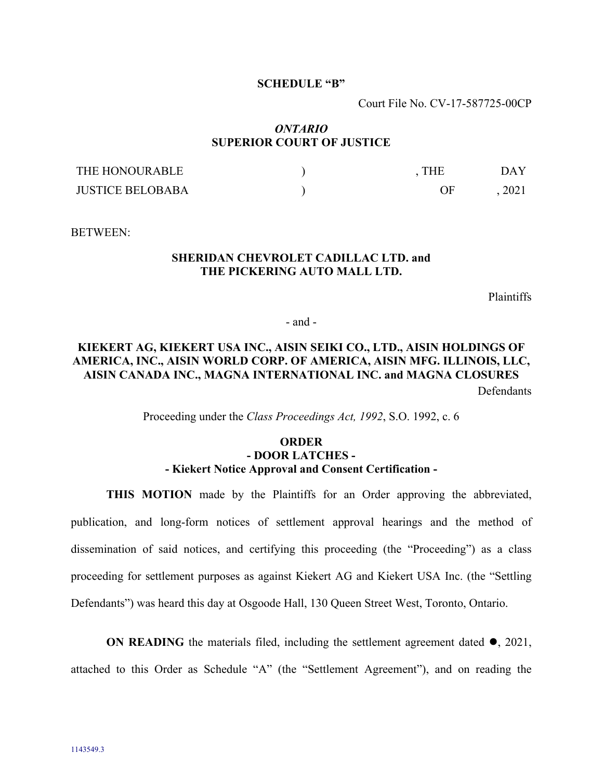#### **SCHEDULE "B"**

Court File No. CV-17-587725-00CP

### *ONTARIO* **SUPERIOR COURT OF JUSTICE**

| THE HONOURABLE          | THE | DAY  |
|-------------------------|-----|------|
| <b>JUSTICE BELOBABA</b> | ΩE  | 2021 |

BETWEEN:

### **SHERIDAN CHEVROLET CADILLAC LTD. and THE PICKERING AUTO MALL LTD.**

Plaintiffs

- and -

### **KIEKERT AG, KIEKERT USA INC., AISIN SEIKI CO., LTD., AISIN HOLDINGS OF AMERICA, INC., AISIN WORLD CORP. OF AMERICA, AISIN MFG. ILLINOIS, LLC, AISIN CANADA INC., MAGNA INTERNATIONAL INC. and MAGNA CLOSURES Defendants**

Proceeding under the *Class Proceedings Act, 1992*, S.O. 1992, c. 6

### **ORDER - DOOR LATCHES - - Kiekert Notice Approval and Consent Certification -**

**THIS MOTION** made by the Plaintiffs for an Order approving the abbreviated, publication, and long-form notices of settlement approval hearings and the method of dissemination of said notices, and certifying this proceeding (the "Proceeding") as a class proceeding for settlement purposes as against Kiekert AG and Kiekert USA Inc. (the "Settling Defendants") was heard this day at Osgoode Hall, 130 Queen Street West, Toronto, Ontario.

**ON READING** the materials filed, including the settlement agreement dated  $\bullet$ , 2021,

attached to this Order as Schedule "A" (the "Settlement Agreement"), and on reading the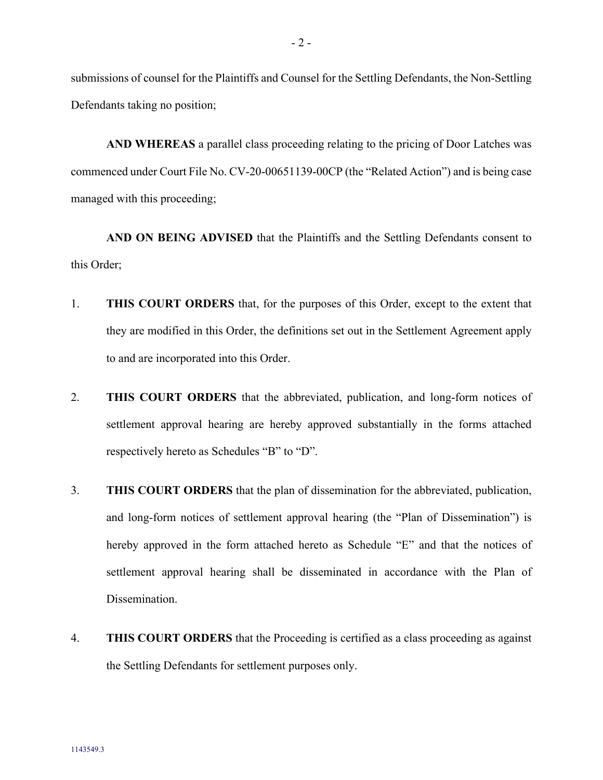submissions of counsel for the Plaintiffs and Counsel for the Settling Defendants, the Non-Settling Defendants taking no position;

**AND WHEREAS** a parallel class proceeding relating to the pricing of Door Latches was commenced under Court File No. CV-20-00651139-00CP (the "Related Action") and is being case managed with this proceeding;

**AND ON BEING ADVISED** that the Plaintiffs and the Settling Defendants consent to this Order;

- 1. **THIS COURT ORDERS** that, for the purposes of this Order, except to the extent that they are modified in this Order, the definitions set out in the Settlement Agreement apply to and are incorporated into this Order.
- 2. **THIS COURT ORDERS** that the abbreviated, publication, and long-form notices of settlement approval hearing are hereby approved substantially in the forms attached respectively hereto as Schedules "B" to "D".
- 3. **THIS COURT ORDERS** that the plan of dissemination for the abbreviated, publication, and long-form notices of settlement approval hearing (the "Plan of Dissemination") is hereby approved in the form attached hereto as Schedule "E" and that the notices of settlement approval hearing shall be disseminated in accordance with the Plan of Dissemination.
- 4. **THIS COURT ORDERS** that the Proceeding is certified as a class proceeding as against the Settling Defendants for settlement purposes only.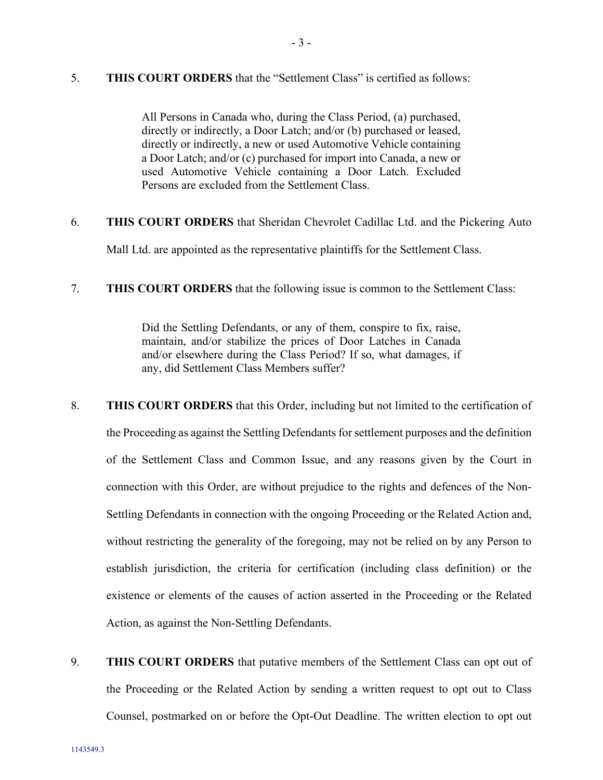5. **THIS COURT ORDERS** that the "Settlement Class" is certified as follows:

All Persons in Canada who, during the Class Period, (a) purchased, directly or indirectly, a Door Latch; and/or (b) purchased or leased, directly or indirectly, a new or used Automotive Vehicle containing a Door Latch; and/or (c) purchased for import into Canada, a new or used Automotive Vehicle containing a Door Latch. Excluded Persons are excluded from the Settlement Class.

- 6. **THIS COURT ORDERS** that Sheridan Chevrolet Cadillac Ltd. and the Pickering Auto Mall Ltd. are appointed as the representative plaintiffs for the Settlement Class.
- 7. **THIS COURT ORDERS** that the following issue is common to the Settlement Class:

Did the Settling Defendants, or any of them, conspire to fix, raise, maintain, and/or stabilize the prices of Door Latches in Canada and/or elsewhere during the Class Period? If so, what damages, if any, did Settlement Class Members suffer?

- 8. **THIS COURT ORDERS** that this Order, including but not limited to the certification of the Proceeding as against the Settling Defendants for settlement purposes and the definition of the Settlement Class and Common Issue, and any reasons given by the Court in connection with this Order, are without prejudice to the rights and defences of the Non-Settling Defendants in connection with the ongoing Proceeding or the Related Action and, without restricting the generality of the foregoing, may not be relied on by any Person to establish jurisdiction, the criteria for certification (including class definition) or the existence or elements of the causes of action asserted in the Proceeding or the Related Action, as against the Non-Settling Defendants.
- 9. **THIS COURT ORDERS** that putative members of the Settlement Class can opt out of the Proceeding or the Related Action by sending a written request to opt out to Class Counsel, postmarked on or before the Opt-Out Deadline. The written election to opt out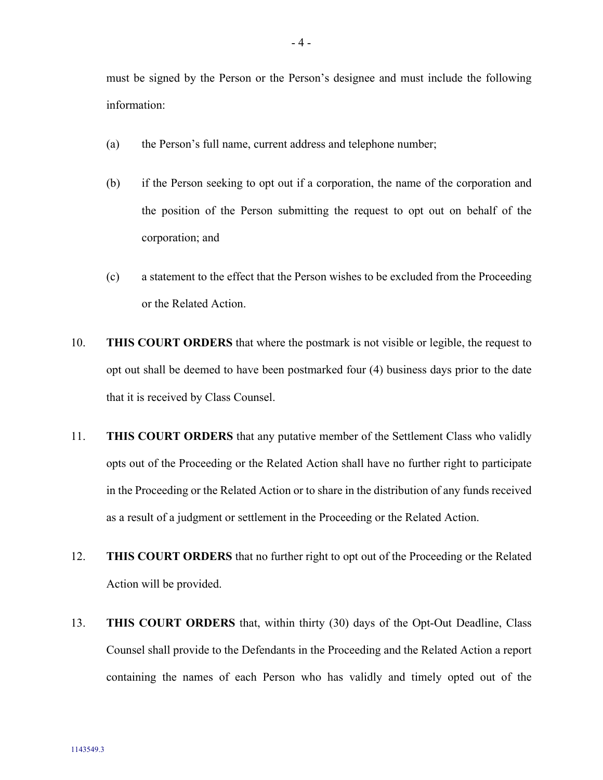must be signed by the Person or the Person's designee and must include the following information:

- (a) the Person's full name, current address and telephone number;
- (b) if the Person seeking to opt out if a corporation, the name of the corporation and the position of the Person submitting the request to opt out on behalf of the corporation; and
- (c) a statement to the effect that the Person wishes to be excluded from the Proceeding or the Related Action.
- 10. **THIS COURT ORDERS** that where the postmark is not visible or legible, the request to opt out shall be deemed to have been postmarked four (4) business days prior to the date that it is received by Class Counsel.
- 11. **THIS COURT ORDERS** that any putative member of the Settlement Class who validly opts out of the Proceeding or the Related Action shall have no further right to participate in the Proceeding or the Related Action or to share in the distribution of any funds received as a result of a judgment or settlement in the Proceeding or the Related Action.
- 12. **THIS COURT ORDERS** that no further right to opt out of the Proceeding or the Related Action will be provided.
- 13. **THIS COURT ORDERS** that, within thirty (30) days of the Opt-Out Deadline, Class Counsel shall provide to the Defendants in the Proceeding and the Related Action a report containing the names of each Person who has validly and timely opted out of the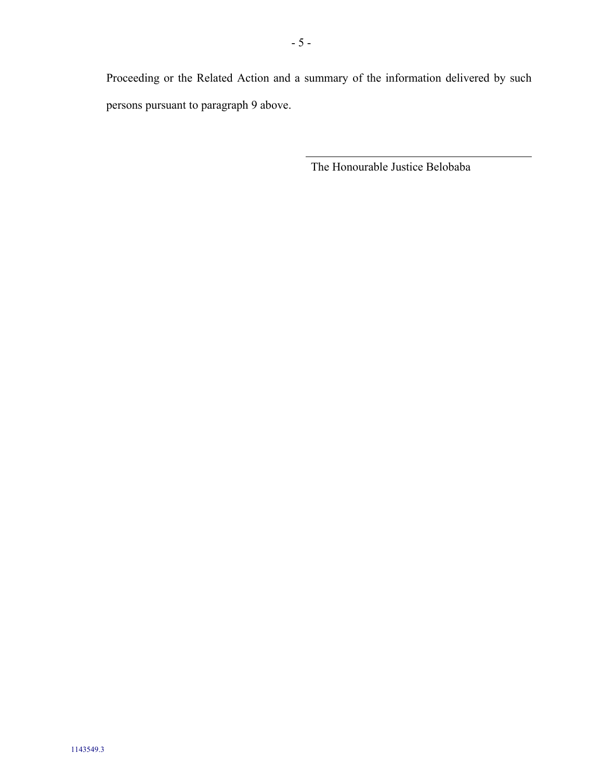Proceeding or the Related Action and a summary of the information delivered by such persons pursuant to paragraph 9 above.

The Honourable Justice Belobaba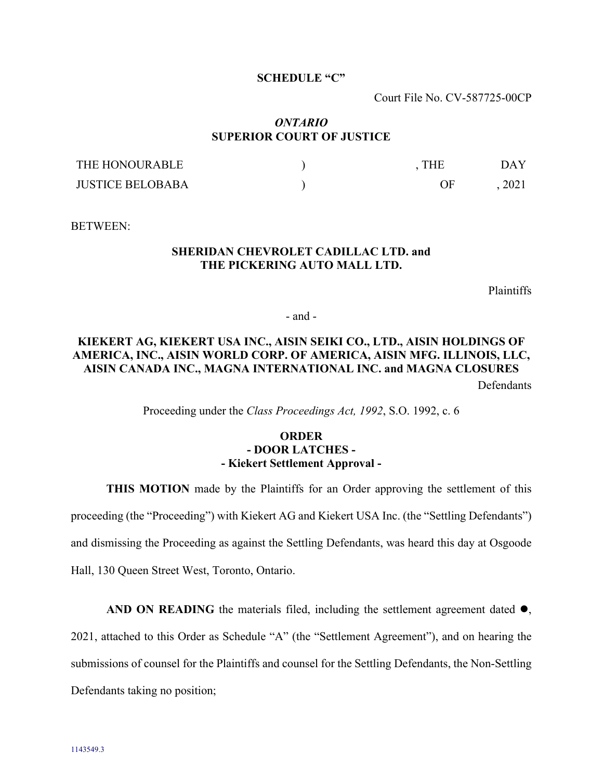#### **SCHEDULE "C"**

Court File No. CV-587725-00CP

### *ONTARIO* **SUPERIOR COURT OF JUSTICE**

| THE HONOURABLE          | THE | DAY  |
|-------------------------|-----|------|
| <b>JUSTICE BELOBABA</b> | ԴԻ  | 2021 |

BETWEEN:

### **SHERIDAN CHEVROLET CADILLAC LTD. and THE PICKERING AUTO MALL LTD.**

Plaintiffs

- and -

# **KIEKERT AG, KIEKERT USA INC., AISIN SEIKI CO., LTD., AISIN HOLDINGS OF AMERICA, INC., AISIN WORLD CORP. OF AMERICA, AISIN MFG. ILLINOIS, LLC, AISIN CANADA INC., MAGNA INTERNATIONAL INC. and MAGNA CLOSURES**

**Defendants** 

Proceeding under the *Class Proceedings Act, 1992*, S.O. 1992, c. 6

### **ORDER - DOOR LATCHES - - Kiekert Settlement Approval -**

**THIS MOTION** made by the Plaintiffs for an Order approving the settlement of this proceeding (the "Proceeding") with Kiekert AG and Kiekert USA Inc. (the "Settling Defendants") and dismissing the Proceeding as against the Settling Defendants, was heard this day at Osgoode Hall, 130 Queen Street West, Toronto, Ontario.

**AND ON READING** the materials filed, including the settlement agreement dated  $\bullet$ ,

2021, attached to this Order as Schedule "A" (the "Settlement Agreement"), and on hearing the

submissions of counsel for the Plaintiffs and counsel for the Settling Defendants, the Non-Settling

Defendants taking no position;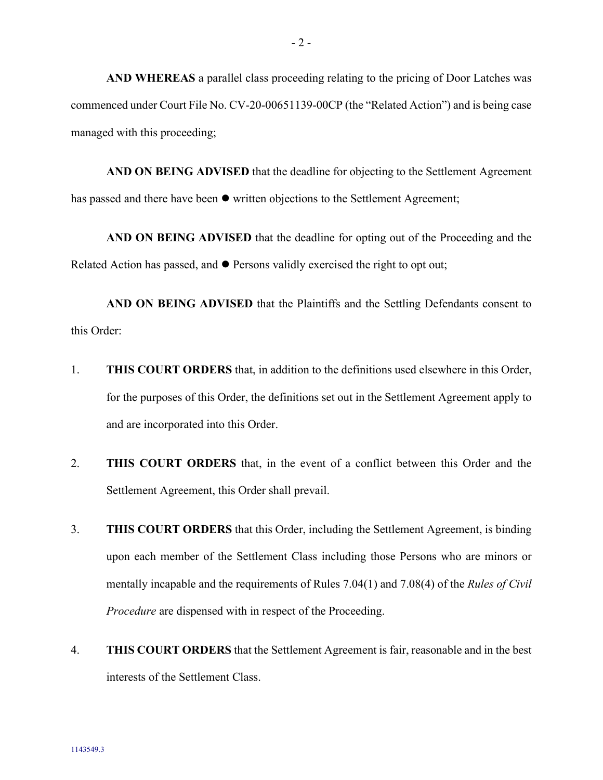**AND WHEREAS** a parallel class proceeding relating to the pricing of Door Latches was commenced under Court File No. CV-20-00651139-00CP (the "Related Action") and is being case managed with this proceeding;

**AND ON BEING ADVISED** that the deadline for objecting to the Settlement Agreement has passed and there have been  $\bullet$  written objections to the Settlement Agreement;

**AND ON BEING ADVISED** that the deadline for opting out of the Proceeding and the Related Action has passed, and  $\bullet$  Persons validly exercised the right to opt out;

**AND ON BEING ADVISED** that the Plaintiffs and the Settling Defendants consent to this Order:

- 1. **THIS COURT ORDERS** that, in addition to the definitions used elsewhere in this Order, for the purposes of this Order, the definitions set out in the Settlement Agreement apply to and are incorporated into this Order.
- 2. **THIS COURT ORDERS** that, in the event of a conflict between this Order and the Settlement Agreement, this Order shall prevail.
- 3. **THIS COURT ORDERS** that this Order, including the Settlement Agreement, is binding upon each member of the Settlement Class including those Persons who are minors or mentally incapable and the requirements of Rules 7.04(1) and 7.08(4) of the *Rules of Civil Procedure* are dispensed with in respect of the Proceeding.
- 4. **THIS COURT ORDERS** that the Settlement Agreement is fair, reasonable and in the best interests of the Settlement Class.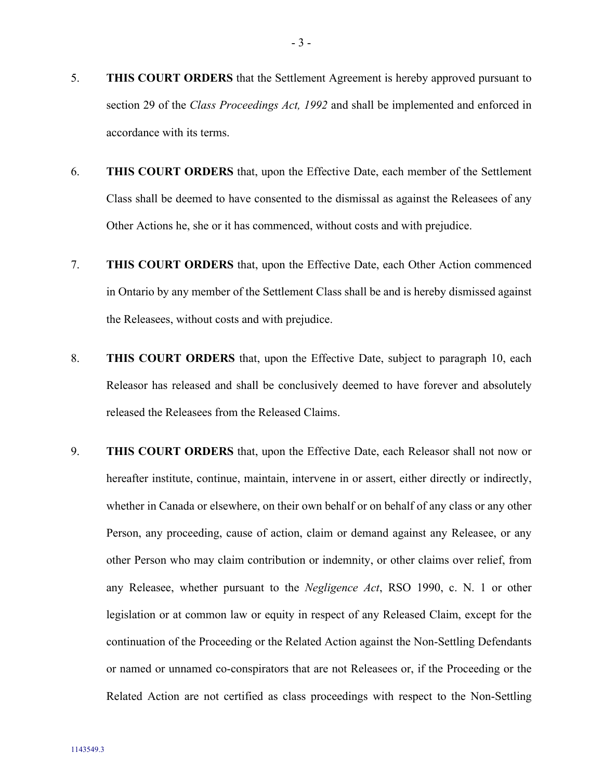- 5. **THIS COURT ORDERS** that the Settlement Agreement is hereby approved pursuant to section 29 of the *Class Proceedings Act, 1992* and shall be implemented and enforced in accordance with its terms.
- 6. **THIS COURT ORDERS** that, upon the Effective Date, each member of the Settlement Class shall be deemed to have consented to the dismissal as against the Releasees of any Other Actions he, she or it has commenced, without costs and with prejudice.
- 7. **THIS COURT ORDERS** that, upon the Effective Date, each Other Action commenced in Ontario by any member of the Settlement Class shall be and is hereby dismissed against the Releasees, without costs and with prejudice.
- 8. **THIS COURT ORDERS** that, upon the Effective Date, subject to paragraph [10,](#page-59-0) each Releasor has released and shall be conclusively deemed to have forever and absolutely released the Releasees from the Released Claims.
- 9. **THIS COURT ORDERS** that, upon the Effective Date, each Releasor shall not now or hereafter institute, continue, maintain, intervene in or assert, either directly or indirectly, whether in Canada or elsewhere, on their own behalf or on behalf of any class or any other Person, any proceeding, cause of action, claim or demand against any Releasee, or any other Person who may claim contribution or indemnity, or other claims over relief, from any Releasee, whether pursuant to the *Negligence Act*, RSO 1990, c. N. 1 or other legislation or at common law or equity in respect of any Released Claim, except for the continuation of the Proceeding or the Related Action against the Non-Settling Defendants or named or unnamed co-conspirators that are not Releasees or, if the Proceeding or the Related Action are not certified as class proceedings with respect to the Non-Settling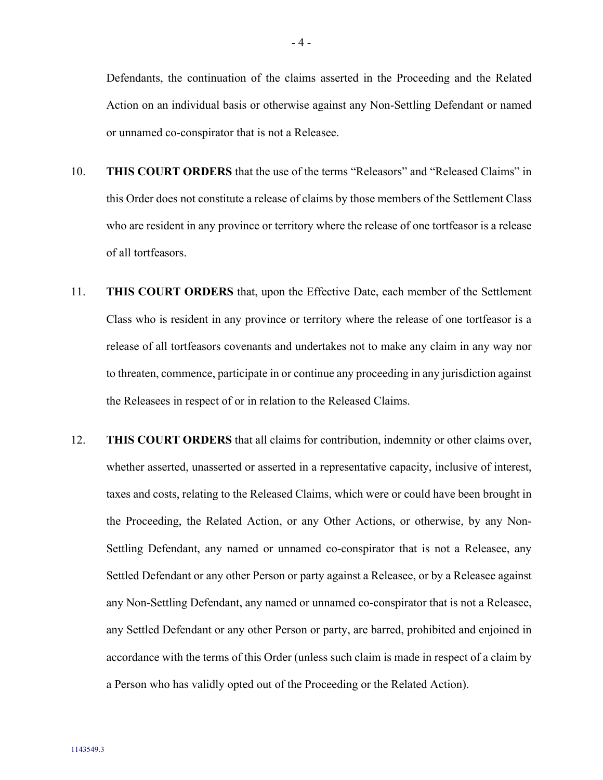Defendants, the continuation of the claims asserted in the Proceeding and the Related Action on an individual basis or otherwise against any Non-Settling Defendant or named or unnamed co-conspirator that is not a Releasee.

- <span id="page-59-0"></span>10. **THIS COURT ORDERS** that the use of the terms "Releasors" and "Released Claims" in this Order does not constitute a release of claims by those members of the Settlement Class who are resident in any province or territory where the release of one tortfeasor is a release of all tortfeasors.
- 11. **THIS COURT ORDERS** that, upon the Effective Date, each member of the Settlement Class who is resident in any province or territory where the release of one tortfeasor is a release of all tortfeasors covenants and undertakes not to make any claim in any way nor to threaten, commence, participate in or continue any proceeding in any jurisdiction against the Releasees in respect of or in relation to the Released Claims.
- <span id="page-59-1"></span>12. **THIS COURT ORDERS** that all claims for contribution, indemnity or other claims over, whether asserted, unasserted or asserted in a representative capacity, inclusive of interest, taxes and costs, relating to the Released Claims, which were or could have been brought in the Proceeding, the Related Action, or any Other Actions, or otherwise, by any Non-Settling Defendant, any named or unnamed co-conspirator that is not a Releasee, any Settled Defendant or any other Person or party against a Releasee, or by a Releasee against any Non-Settling Defendant, any named or unnamed co-conspirator that is not a Releasee, any Settled Defendant or any other Person or party, are barred, prohibited and enjoined in accordance with the terms of this Order (unless such claim is made in respect of a claim by a Person who has validly opted out of the Proceeding or the Related Action).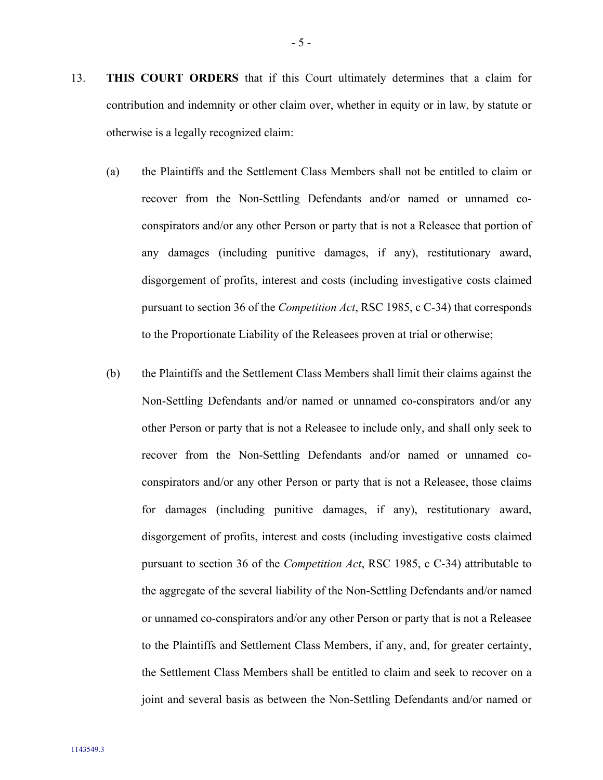- 13. **THIS COURT ORDERS** that if this Court ultimately determines that a claim for contribution and indemnity or other claim over, whether in equity or in law, by statute or otherwise is a legally recognized claim:
	- (a) the Plaintiffs and the Settlement Class Members shall not be entitled to claim or recover from the Non-Settling Defendants and/or named or unnamed coconspirators and/or any other Person or party that is not a Releasee that portion of any damages (including punitive damages, if any), restitutionary award, disgorgement of profits, interest and costs (including investigative costs claimed pursuant to section 36 of the *Competition Act*, RSC 1985, c C-34) that corresponds to the Proportionate Liability of the Releasees proven at trial or otherwise;
	- (b) the Plaintiffs and the Settlement Class Members shall limit their claims against the Non-Settling Defendants and/or named or unnamed co-conspirators and/or any other Person or party that is not a Releasee to include only, and shall only seek to recover from the Non-Settling Defendants and/or named or unnamed coconspirators and/or any other Person or party that is not a Releasee, those claims for damages (including punitive damages, if any), restitutionary award, disgorgement of profits, interest and costs (including investigative costs claimed pursuant to section 36 of the *Competition Act*, RSC 1985, c C-34) attributable to the aggregate of the several liability of the Non-Settling Defendants and/or named or unnamed co-conspirators and/or any other Person or party that is not a Releasee to the Plaintiffs and Settlement Class Members, if any, and, for greater certainty, the Settlement Class Members shall be entitled to claim and seek to recover on a joint and several basis as between the Non-Settling Defendants and/or named or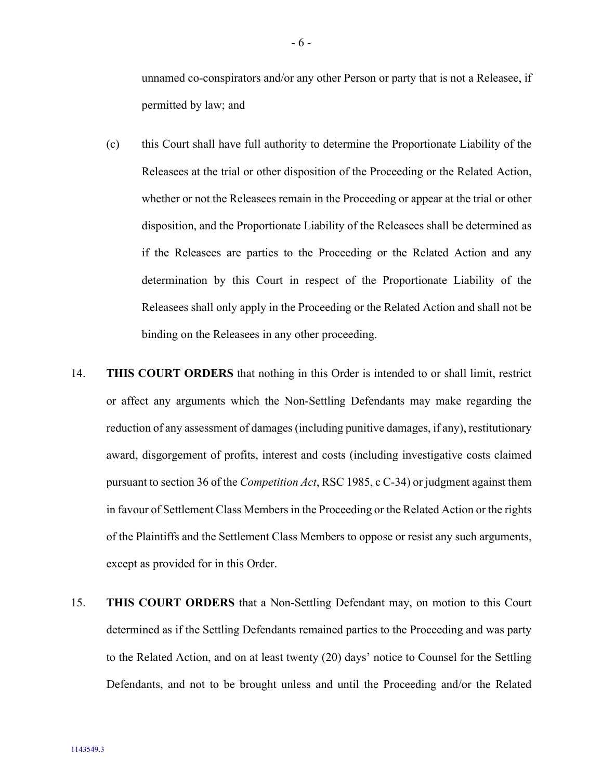unnamed co-conspirators and/or any other Person or party that is not a Releasee, if permitted by law; and

- (c) this Court shall have full authority to determine the Proportionate Liability of the Releasees at the trial or other disposition of the Proceeding or the Related Action, whether or not the Releasees remain in the Proceeding or appear at the trial or other disposition, and the Proportionate Liability of the Releasees shall be determined as if the Releasees are parties to the Proceeding or the Related Action and any determination by this Court in respect of the Proportionate Liability of the Releasees shall only apply in the Proceeding or the Related Action and shall not be binding on the Releasees in any other proceeding.
- 14. **THIS COURT ORDERS** that nothing in this Order is intended to or shall limit, restrict or affect any arguments which the Non-Settling Defendants may make regarding the reduction of any assessment of damages (including punitive damages, if any), restitutionary award, disgorgement of profits, interest and costs (including investigative costs claimed pursuant to section 36 of the *Competition Act*, RSC 1985, c C-34) or judgment against them in favour of Settlement Class Members in the Proceeding or the Related Action or the rights of the Plaintiffs and the Settlement Class Members to oppose or resist any such arguments, except as provided for in this Order.
- <span id="page-61-0"></span>15. **THIS COURT ORDERS** that a Non-Settling Defendant may, on motion to this Court determined as if the Settling Defendants remained parties to the Proceeding and was party to the Related Action, and on at least twenty (20) days' notice to Counsel for the Settling Defendants, and not to be brought unless and until the Proceeding and/or the Related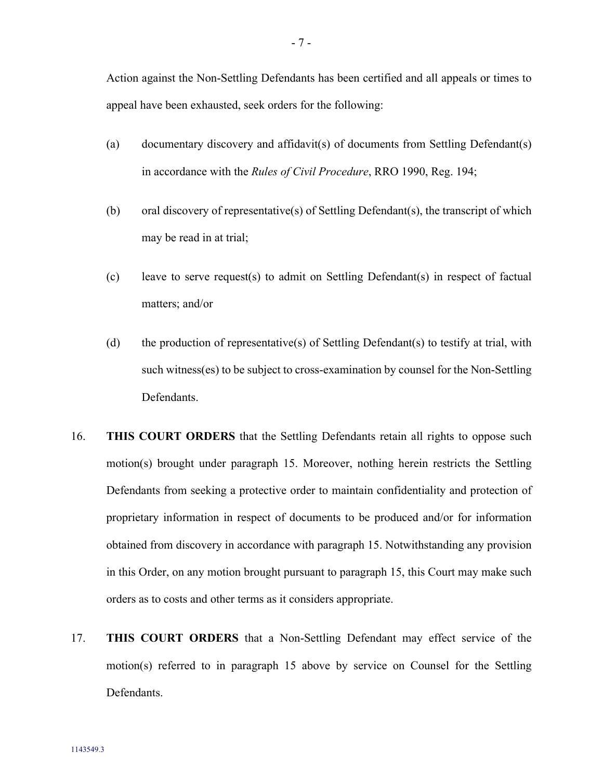Action against the Non-Settling Defendants has been certified and all appeals or times to appeal have been exhausted, seek orders for the following:

- (a) documentary discovery and affidavit(s) of documents from Settling Defendant(s) in accordance with the *Rules of Civil Procedure*, RRO 1990, Reg. 194;
- (b) oral discovery of representative(s) of Settling Defendant(s), the transcript of which may be read in at trial;
- (c) leave to serve request(s) to admit on Settling Defendant(s) in respect of factual matters; and/or
- (d) the production of representative(s) of Settling Defendant(s) to testify at trial, with such witness(es) to be subject to cross-examination by counsel for the Non-Settling Defendants.
- 16. **THIS COURT ORDERS** that the Settling Defendants retain all rights to oppose such motion(s) brought under paragraph [15.](#page-61-0) Moreover, nothing herein restricts the Settling Defendants from seeking a protective order to maintain confidentiality and protection of proprietary information in respect of documents to be produced and/or for information obtained from discovery in accordance with paragraph [15.](#page-61-0) Notwithstanding any provision in this Order, on any motion brought pursuant to paragraph [15,](#page-61-0) this Court may make such orders as to costs and other terms as it considers appropriate.
- <span id="page-62-0"></span>17. **THIS COURT ORDERS** that a Non-Settling Defendant may effect service of the motion(s) referred to in paragraph [15](#page-61-0) above by service on Counsel for the Settling Defendants.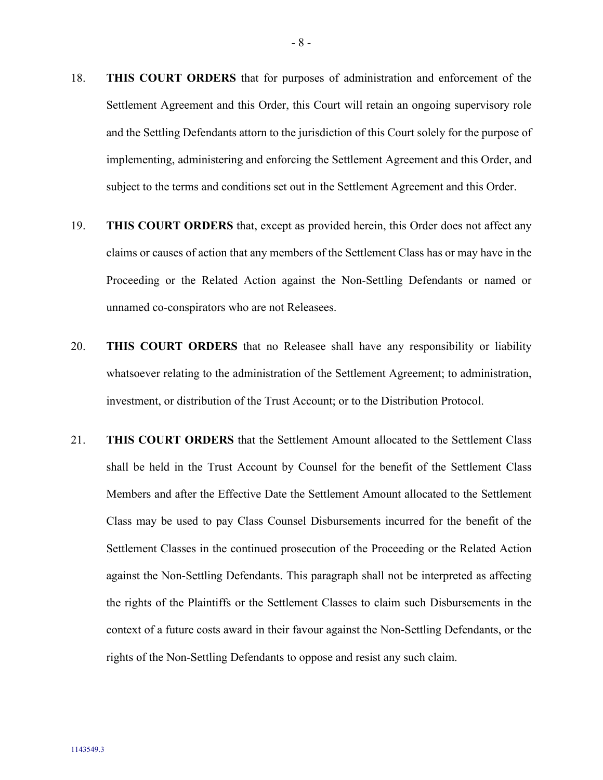- 18. **THIS COURT ORDERS** that for purposes of administration and enforcement of the Settlement Agreement and this Order, this Court will retain an ongoing supervisory role and the Settling Defendants attorn to the jurisdiction of this Court solely for the purpose of implementing, administering and enforcing the Settlement Agreement and this Order, and subject to the terms and conditions set out in the Settlement Agreement and this Order.
- 19. **THIS COURT ORDERS** that, except as provided herein, this Order does not affect any claims or causes of action that any members of the Settlement Class has or may have in the Proceeding or the Related Action against the Non-Settling Defendants or named or unnamed co-conspirators who are not Releasees.
- 20. **THIS COURT ORDERS** that no Releasee shall have any responsibility or liability whatsoever relating to the administration of the Settlement Agreement; to administration, investment, or distribution of the Trust Account; or to the Distribution Protocol.
- 21. **THIS COURT ORDERS** that the Settlement Amount allocated to the Settlement Class shall be held in the Trust Account by Counsel for the benefit of the Settlement Class Members and after the Effective Date the Settlement Amount allocated to the Settlement Class may be used to pay Class Counsel Disbursements incurred for the benefit of the Settlement Classes in the continued prosecution of the Proceeding or the Related Action against the Non-Settling Defendants. This paragraph shall not be interpreted as affecting the rights of the Plaintiffs or the Settlement Classes to claim such Disbursements in the context of a future costs award in their favour against the Non-Settling Defendants, or the rights of the Non-Settling Defendants to oppose and resist any such claim.